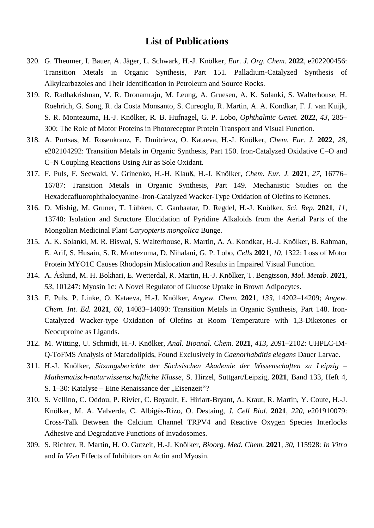## **List of Publications**

- 320. G. Theumer, I. Bauer, A. Jäger, L. Schwark, H.-J. Knölker, *Eur. J. Org. Chem.* **2022**, e202200456: Transition Metals in Organic Synthesis, Part 151. Palladium-Catalyzed Synthesis of Alkylcarbazoles and Their Identification in Petroleum and Source Rocks.
- 319. R. Radhakrishnan, V. R. Dronamraju, M. Leung, A. Gruesen, A. K. Solanki, S. Walterhouse, H. Roehrich, G. Song, R. da Costa Monsanto, S. Cureoglu, R. Martin, A. A. Kondkar, F. J. van Kuijk, S. R. Montezuma, H.-J. Knölker, R. B. Hufnagel, G. P. Lobo, *Ophthalmic Genet.* **2022**, *43*, 285– 300: The Role of Motor Proteins in Photoreceptor Protein Transport and Visual Function.
- 318. A. Purtsas, M. Rosenkranz, E. Dmitrieva, O. Kataeva, H.-J. Knölker, *Chem. Eur. J.* **2022**, *28*, e202104292: Transition Metals in Organic Synthesis, Part 150. Iron-Catalyzed Oxidative C–O and C–N Coupling Reactions Using Air as Sole Oxidant.
- 317. F. Puls, F. Seewald, V. Grinenko, H.-H. Klauß, H.-J. Knölker, *Chem. Eur. J.* **2021**, *27*, 16776– 16787: Transition Metals in Organic Synthesis, Part 149. Mechanistic Studies on the Hexadecafluorophthalocyanine–Iron-Catalyzed Wacker-Type Oxidation of Olefins to Ketones.
- 316. D. Mishig, M. Gruner, T. Lübken, C. Ganbaatar, D. Regdel, H.-J. Knölker, *Sci. Rep.* **2021**, *11*, 13740: Isolation and Structure Elucidation of Pyridine Alkaloids from the Aerial Parts of the Mongolian Medicinal Plant *Caryopteris mongolica* Bunge.
- 315. A. K. Solanki, M. R. Biswal, S. Walterhouse, R. Martin, A. A. Kondkar, H.-J. Knölker, B. Rahman, E. Arif, S. Husain, S. R. Montezuma, D. Nihalani, G. P. Lobo, *Cells* **2021**, *10*, 1322: Loss of Motor Protein MYO1C Causes Rhodopsin Mislocation and Results in Impaired Visual Function.
- 314. A. Åslund, M. H. Bokhari, E. Wetterdal, R. Martin, H.-J. Knölker, T. Bengtsson, *Mol. Metab.* **2021**, *53*, 101247: Myosin 1c: A Novel Regulator of Glucose Uptake in Brown Adipocytes.
- 313. F. Puls, P. Linke, O. Kataeva, H.-J. Knölker, *Angew. Chem.* **2021**, *133*, 14202–14209; *Angew. Chem. Int. Ed.* **2021**, *60*, 14083–14090: Transition Metals in Organic Synthesis, Part 148. Iron-Catalyzed Wacker-type Oxidation of Olefins at Room Temperature with 1,3-Diketones or Neocuproine as Ligands.
- 312. M. Witting, U. Schmidt, H.-J. Knölker, *Anal. Bioanal. Chem.* **2021**, *413*, 2091–2102: UHPLC-IM-Q-ToFMS Analysis of Maradolipids, Found Exclusively in *Caenorhabditis elegans* Dauer Larvae.
- 311. H.-J. Knölker, *Sitzungsberichte der Sächsischen Akademie der Wissenschaften zu Leipzig – Mathematisch-naturwissenschaftliche Klasse*, S. Hirzel, Suttgart/Leipzig, **2021**, Band 133, Heft 4, S. 1–30: Katalyse – Eine Renaissance der "Eisenzeit"?
- 310. S. Vellino, C. Oddou, P. Rivier, C. Boyault, E. Hiriart-Bryant, A. Kraut, R. Martin, Y. Coute, H.-J. Knölker, M. A. Valverde, C. Albigès-Rizo, O. Destaing, *J. Cell Biol.* **2021**, *220*, e201910079: Cross-Talk Between the Calcium Channel TRPV4 and Reactive Oxygen Species Interlocks Adhesive and Degradative Functions of Invadosomes.
- 309. S. Richter, R. Martin, H. O. Gutzeit, H.-J. Knölker, *Bioorg. Med. Chem.* **2021**, *30*, 115928: *In Vitro* and *In Vivo* Effects of Inhibitors on Actin and Myosin.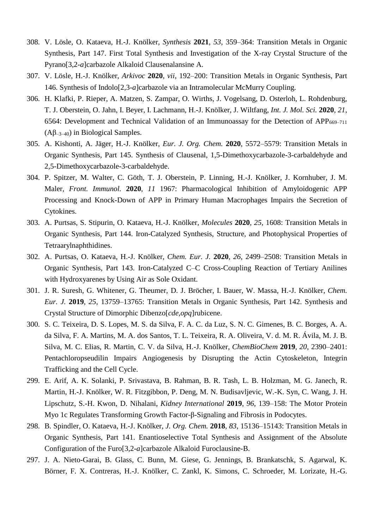- 308. V. Lösle, O. Kataeva, H.-J. Knölker, *Synthesis* **2021**, *53*, 359–364: Transition Metals in Organic Synthesis, Part 147. First Total Synthesis and Investigation of the X-ray Crystal Structure of the Pyrano[3,2-*a*]carbazole Alkaloid Clausenalansine A.
- 307. V. Lösle, H.-J. Knölker, *Arkivoc* **2020**, *vii*, 192–200: Transition Metals in Organic Synthesis, Part 146. Synthesis of Indolo[2,3-*a*]carbazole via an Intramolecular McMurry Coupling.
- 306. H. Klafki, P. Rieper, A. Matzen, S. Zampar, O. Wirths, J. Vogelsang, D. Osterloh, L. Rohdenburg, T. J. Oberstein, O. Jahn, I. Beyer, I. Lachmann, H.-J. Knölker, J. Wiltfang, *Int. J. Mol. Sci.* **2020**, *21*, 6564: Development and Technical Validation of an Immunoassay for the Detection of APP $_{669-711}$ (Aβ–3–40) in Biological Samples.
- 305. A. Kishonti, A. Jäger, H.-J. Knölker, *Eur. J. Org. Chem.* **2020**, 5572–5579: Transition Metals in Organic Synthesis, Part 145. Synthesis of Clausenal, 1,5-Dimethoxycarbazole-3-carbaldehyde and 2,5-Dimethoxycarbazole-3-carbaldehyde.
- 304. P. Spitzer, M. Walter, C. Göth, T. J. Oberstein, P. Linning, H.-J. Knölker, J. Kornhuber, J. M. Maler, *Front. Immunol.* **2020**, *11* 1967: Pharmacological Inhibition of Amyloidogenic APP Processing and Knock-Down of APP in Primary Human Macrophages Impairs the Secretion of Cytokines.
- 303. A. Purtsas, S. Stipurin, O. Kataeva, H.-J. Knölker, *Molecules* **2020**, *25*, 1608: Transition Metals in Organic Synthesis, Part 144. Iron-Catalyzed Synthesis, Structure, and Photophysical Properties of Tetraarylnaphthidines.
- 302. A. Purtsas, O. Kataeva, H.-J. Knölker, *Chem. Eur. J.* **2020**, *26*, 2499–2508: Transition Metals in Organic Synthesis, Part 143. Iron-Catalyzed C–C Cross-Coupling Reaction of Tertiary Anilines with Hydroxyarenes by Using Air as Sole Oxidant.
- 301. J. R. Suresh, G. Whitener, G. Theumer, D. J. Bröcher, I. Bauer, W. Massa, H.-J. Knölker, *Chem. Eur. J.* **2019**, *25*, 13759–13765: Transition Metals in Organic Synthesis, Part 142. Synthesis and Crystal Structure of Dimorphic Dibenzo[*cde*,*opq*]rubicene.
- 300. S. C. Teixeira, D. S. Lopes, M. S. da Silva, F. A. C. da Luz, S. N. C. Gimenes, B. C. Borges, A. A. da Silva, F. A. Martins, M. A. dos Santos, T. L. Teixeira, R. A. Oliveira, V. d. M. R. Ávila, M. J. B. Silva, M. C. Elias, R. Martin, C. V. da Silva, H.-J. Knölker, *ChemBioChem* **2019**, *20*, 2390–2401: Pentachloropseudilin Impairs Angiogenesis by Disrupting the Actin Cytoskeleton, Integrin Trafficking and the Cell Cycle.
- 299. E. Arif, A. K. Solanki, P. Srivastava, B. Rahman, B. R. Tash, L. B. Holzman, M. G. Janech, R. Martin, H.-J. Knölker, W. R. Fitzgibbon, P. Deng, M. N. Budisavljevic, W.-K. Syn, C. Wang, J. H. Lipschutz, S.-H. Kwon, D. Nihalani, *Kidney International* **2019**, *96*, 139–158: The Motor Protein Myo 1c Regulates Transforming Growth Factor-β-Signaling and Fibrosis in Podocytes.
- 298. B. Spindler, O. Kataeva, H.-J. Knölker, *J. Org. Chem.* **2018**, *83*, 15136–15143: Transition Metals in Organic Synthesis, Part 141. Enantioselective Total Synthesis and Assignment of the Absolute Configuration of the Furo[3,2-*a*]carbazole Alkaloid Furoclausine-B.
- 297. J. A. Nieto-Garai, B. Glass, C. Bunn, M. Giese, G. Jennings, B. Brankatschk, S. Agarwal, K. Börner, F. X. Contreras, H.-J. Knölker, C. Zankl, K. Simons, C. Schroeder, M. Lorizate, H.-G.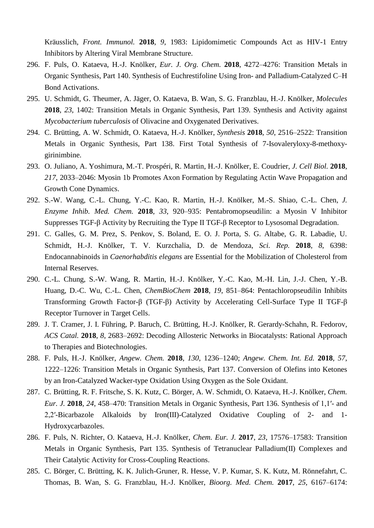Kräusslich, *Front. Immunol.* **2018**, *9*, 1983: Lipidomimetic Compounds Act as HIV-1 Entry Inhibitors by Altering Viral Membrane Structure.

- 296. F. Puls, O. Kataeva, H.-J. Knölker, *Eur. J. Org. Chem.* **2018**, 4272–4276: Transition Metals in Organic Synthesis, Part 140. Synthesis of Euchrestifoline Using Iron- and Palladium-Catalyzed C–H Bond Activations.
- 295. U. Schmidt, G. Theumer, A. Jäger, O. Kataeva, B. Wan, S. G. Franzblau, H.-J. Knölker, *Molecules* **2018**, *23*, 1402: Transition Metals in Organic Synthesis, Part 139. Synthesis and Activity against *Mycobacterium tuberculosis* of Olivacine and Oxygenated Derivatives.
- 294. C. Brütting, A. W. Schmidt, O. Kataeva, H.-J. Knölker, *Synthesis* **2018**, *50*, 2516–2522: Transition Metals in Organic Synthesis, Part 138. First Total Synthesis of 7-Isovaleryloxy-8-methoxygirinimbine.
- 293. O. Juliano, A. Yoshimura, M.-T. Prospéri, R. Martin, H.-J. Knölker, E. Coudrier, *J. Cell Biol.* **2018**, *217*, 2033–2046: Myosin 1b Promotes Axon Formation by Regulating Actin Wave Propagation and Growth Cone Dynamics.
- 292. S.-W. Wang, C.-L. Chung, Y.-C. Kao, R. Martin, H.-J. Knölker, M.-S. Shiao, C.-L. Chen, *J. Enzyme Inhib. Med. Chem.* **2018**, *33*, 920–935: Pentabromopseudilin: a Myosin V Inhibitor Suppresses TGF-β Activity by Recruiting the Type II TGF-β Receptor to Lysosomal Degradation.
- 291. C. Galles, G. M. Prez, S. Penkov, S. Boland, E. O. J. Porta, S. G. Altabe, G. R. Labadie, U. Schmidt, H.-J. Knölker, T. V. Kurzchalia, D. de Mendoza, *Sci. Rep.* **2018**, *8*, 6398: Endocannabinoids in *Caenorhabditis elegans* are Essential for the Mobilization of Cholesterol from Internal Reserves.
- 290. C.-L. Chung, S.-W. Wang, R. Martin, H.-J. Knölker, Y.-C. Kao, M.-H. Lin, J.-J. Chen, Y.-B. Huang, D.-C. Wu, C.-L. Chen, *ChemBioChem* **2018**, *19*, 851–864: Pentachloropseudilin Inhibits Transforming Growth Factor-β (TGF-β) Activity by Accelerating Cell-Surface Type II TGF-β Receptor Turnover in Target Cells.
- 289. J. T. Cramer, J. I. Führing, P. Baruch, C. Brütting, H.-J. Knölker, R. Gerardy-Schahn, R. Fedorov, *ACS Catal.* **2018**, *8*, 2683–2692: Decoding Allosteric Networks in Biocatalysts: Rational Approach to Therapies and Biotechnologies.
- 288. F. Puls, H.-J. Knölker, *Angew. Chem.* **2018**, *130*, 1236–1240; *Angew. Chem. Int. Ed.* **2018**, *57*, 1222–1226: Transition Metals in Organic Synthesis, Part 137. Conversion of Olefins into Ketones by an Iron-Catalyzed Wacker-type Oxidation Using Oxygen as the Sole Oxidant.
- 287. C. Brütting, R. F. Fritsche, S. K. Kutz, C. Börger, A. W. Schmidt, O. Kataeva, H.-J. Knölker, *Chem. Eur. J.* **2018**, *24*, 458–470: Transition Metals in Organic Synthesis, Part 136. Synthesis of 1,1′- and 2,2′-Bicarbazole Alkaloids by Iron(III)-Catalyzed Oxidative Coupling of 2- and 1- Hydroxycarbazoles.
- 286. F. Puls, N. Richter, O. Kataeva, H.-J. Knölker, *Chem. Eur. J.* **2017**, *23*, 17576–17583: Transition Metals in Organic Synthesis, Part 135. Synthesis of Tetranuclear Palladium(II) Complexes and Their Catalytic Activity for Cross-Coupling Reactions.
- 285. C. Börger, C. Brütting, K. K. Julich-Gruner, R. Hesse, V. P. Kumar, S. K. Kutz, M. Rönnefahrt, C. Thomas, B. Wan, S. G. Franzblau, H.-J. Knölker, *Bioorg. Med. Chem.* **2017**, *25*, 6167–6174: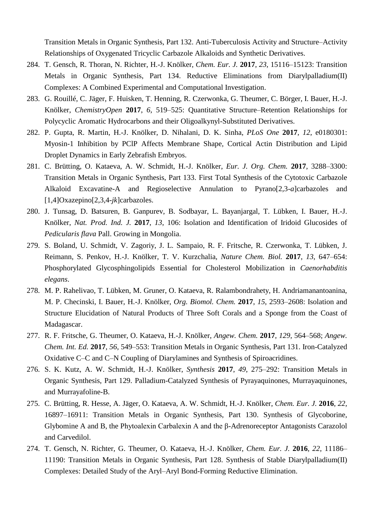Transition Metals in Organic Synthesis, Part 132. Anti-Tuberculosis Activity and Structure–Activity Relationships of Oxygenated Tricyclic Carbazole Alkaloids and Synthetic Derivatives.

- 284. T. Gensch, R. Thoran, N. Richter, H.-J. Knölker, *Chem. Eur. J.* **2017**, *23*, 15116–15123: Transition Metals in Organic Synthesis, Part 134. Reductive Eliminations from Diarylpalladium(II) Complexes: A Combined Experimental and Computational Investigation.
- 283. G. Rouillé, C. Jäger, F. Huisken, T. Henning, R. Czerwonka, G. Theumer, C. Börger, I. Bauer, H.-J. Knölker, *ChemistryOpen* **2017**, *6*, 519–525: Quantitative Structure–Retention Relationships for Polycyclic Aromatic Hydrocarbons and their Oligoalkynyl-Substituted Derivatives.
- 282. P. Gupta, R. Martin, H.-J. Knölker, D. Nihalani, D. K. Sinha, *PLoS One* **2017**, *12*, e0180301: Myosin-1 Inhibition by PClP Affects Membrane Shape, Cortical Actin Distribution and Lipid Droplet Dynamics in Early Zebrafish Embryos.
- 281. C. Brütting, O. Kataeva, A. W. Schmidt, H.-J. Knölker, *Eur. J. Org. Chem.* **2017**, 3288–3300: Transition Metals in Organic Synthesis, Part 133. First Total Synthesis of the Cytotoxic Carbazole Alkaloid Excavatine-A and Regioselective Annulation to Pyrano[2,3-*a*]carbazoles and [1,4]Oxazepino[2,3,4-*jk*]carbazoles.
- 280. J. Tunsag, D. Batsuren, B. Ganpurev, B. Sodbayar, L. Bayanjargal, T. Lübken, I. Bauer, H.-J. Knölker, *Nat. Prod. Ind. J.* **2017**, *13*, 106: Isolation and Identification of Iridoid Glucosides of *Pedicularis flava* Pall. Growing in Mongolia.
- 279. S. Boland, U. Schmidt, V. Zagoriy, J. L. Sampaio, R. F. Fritsche, R. Czerwonka, T. Lübken, J. Reimann, S. Penkov, H.-J. Knölker, T. V. Kurzchalia, *Nature Chem. Biol.* **2017**, *13*, 647–654: Phosphorylated Glycosphingolipids Essential for Cholesterol Mobilization in *Caenorhabditis elegans*.
- 278. M. P. Rahelivao, T. Lübken, M. Gruner, O. Kataeva, R. Ralambondrahety, H. Andriamanantoanina, M. P. Checinski, I. Bauer, H.-J. Knölker, *Org. Biomol. Chem.* **2017**, *15*, 2593–2608: Isolation and Structure Elucidation of Natural Products of Three Soft Corals and a Sponge from the Coast of Madagascar.
- 277. R. F. Fritsche, G. Theumer, O. Kataeva, H.-J. Knölker, *Angew. Chem.* **2017**, *129*, 564–568; *Angew. Chem. Int. Ed.* **2017**, *56*, 549–553: Transition Metals in Organic Synthesis, Part 131. Iron-Catalyzed Oxidative C–C and C–N Coupling of Diarylamines and Synthesis of Spiroacridines.
- 276. S. K. Kutz, A. W. Schmidt, H.-J. Knölker, *Synthesis* **2017**, *49*, 275–292: Transition Metals in Organic Synthesis, Part 129. Palladium-Catalyzed Synthesis of Pyrayaquinones, Murrayaquinones, and Murrayafoline-B.
- 275. C. Brütting, R. Hesse, A. Jäger, O. Kataeva, A. W. Schmidt, H.-J. Knölker, *Chem. Eur. J.* **2016**, *22*, 16897–16911: Transition Metals in Organic Synthesis, Part 130. Synthesis of Glycoborine, Glybomine A and B, the Phytoalexin Carbalexin A and the β-Adrenoreceptor Antagonists Carazolol and Carvedilol.
- 274. T. Gensch, N. Richter, G. Theumer, O. Kataeva, H.-J. Knölker, *Chem. Eur. J.* **2016**, *22*, 11186– 11190: Transition Metals in Organic Synthesis, Part 128. Synthesis of Stable Diarylpalladium(II) Complexes: Detailed Study of the Aryl–Aryl Bond-Forming Reductive Elimination.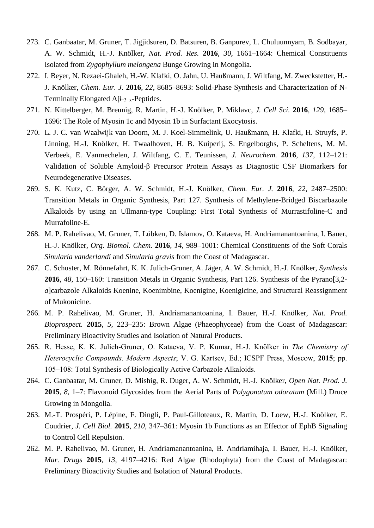- 273. C. Ganbaatar, M. Gruner, T. Jigjidsuren, D. Batsuren, B. Ganpurev, L. Chuluunnyam, B. Sodbayar, A. W. Schmidt, H.-J. Knölker, *Nat. Prod. Res.* **2016**, *30*, 1661–1664: Chemical Constituents Isolated from *Zygophyllum melongena* Bunge Growing in Mongolia.
- 272. I. Beyer, N. Rezaei-Ghaleh, H.-W. Klafki, O. Jahn, U. Haußmann, J. Wiltfang, M. Zweckstetter, H.- J. Knölker, *Chem. Eur. J.* **2016**, *22*, 8685–8693: Solid-Phase Synthesis and Characterization of N-Terminally Elongated Aβ−3–x-Peptides.
- 271. N. Kittelberger, M. Breunig, R. Martin, H.-J. Knölker, P. Miklavc, *J. Cell Sci.* **2016**, *129*, 1685– 1696: The Role of Myosin 1c and Myosin 1b in Surfactant Exocytosis.
- 270. L. J. C. van Waalwijk van Doorn, M. J. Koel-Simmelink, U. Haußmann, H. Klafki, H. Struyfs, P. Linning, H.-J. Knölker, H. Twaalhoven, H. B. Kuiperij, S. Engelborghs, P. Scheltens, M. M. Verbeek, E. Vanmechelen, J. Wiltfang, C. E. Teunissen, *J. Neurochem.* **2016**, *137*, 112–121: Validation of Soluble Amyloid-β Precursor Protein Assays as Diagnostic CSF Biomarkers for Neurodegenerative Diseases.
- 269. S. K. Kutz, C. Börger, A. W. Schmidt, H.-J. Knölker, *Chem. Eur. J.* **2016**, *22*, 2487–2500: Transition Metals in Organic Synthesis, Part 127. Synthesis of Methylene-Bridged Biscarbazole Alkaloids by using an Ullmann-type Coupling: First Total Synthesis of Murrastifoline-C and Murrafoline-E.
- 268. M. P. Rahelivao, M. Gruner, T. Lübken, D. Islamov, O. Kataeva, H. Andriamanantoanina, I. Bauer, H.-J. Knölker, *Org. Biomol. Chem.* **2016**, *14*, 989–1001: Chemical Constituents of the Soft Corals *Sinularia vanderlandi* and *Sinularia gravis* from the Coast of Madagascar.
- 267. C. Schuster, M. Rönnefahrt, K. K. Julich-Gruner, A. Jäger, A. W. Schmidt, H.-J. Knölker, *Synthesis* **2016**, *48*, 150–160: Transition Metals in Organic Synthesis, Part 126. Synthesis of the Pyrano[3,2 *a*]carbazole Alkaloids Koenine, Koenimbine, Koenigine, Koenigicine, and Structural Reassignment of Mukonicine.
- 266. M. P. Rahelivao, M. Gruner, H. Andriamanantoanina, I. Bauer, H.-J. Knölker, *Nat. Prod. Bioprospect.* **2015**, *5*, 223–235: Brown Algae (Phaeophyceae) from the Coast of Madagascar: Preliminary Bioactivity Studies and Isolation of Natural Products.
- 265. R. Hesse, K. K. Julich-Gruner, O. Kataeva, V. P. Kumar, H.-J. Knölker in *The Chemistry of Heterocyclic Compounds*. *Modern Aspects*; V. G. Kartsev, Ed.; ICSPF Press, Moscow, **2015**; pp. 105–108: Total Synthesis of Biologically Active Carbazole Alkaloids.
- 264. C. Ganbaatar, M. Gruner, D. Mishig, R. Duger, A. W. Schmidt, H.-J. Knölker, *Open Nat. Prod. J.* **2015**, *8*, 1–7: Flavonoid Glycosides from the Aerial Parts of *Polygonatum odoratum* (Mill.) Druce Growing in Mongolia.
- 263. M.-T. Prospéri, P. Lépine, F. Dingli, P. Paul-Gilloteaux, R. Martin, D. Loew, H.-J. Knölker, E. Coudrier, *J. Cell Biol.* **2015**, *210*, 347–361: Myosin 1b Functions as an Effector of EphB Signaling to Control Cell Repulsion.
- 262. M. P. Rahelivao, M. Gruner, H. Andriamanantoanina, B. Andriamihaja, I. Bauer, H.-J. Knölker, *Mar. Drugs* **2015**, *13*, 4197–4216: Red Algae (Rhodophyta) from the Coast of Madagascar: Preliminary Bioactivity Studies and Isolation of Natural Products.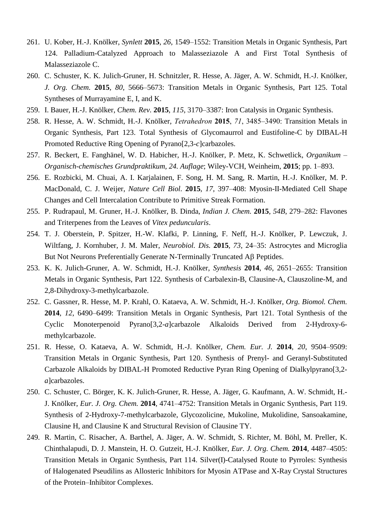- 261. U. Kober, H.-J. Knölker, *Synlett* **2015**, *26*, 1549–1552: Transition Metals in Organic Synthesis, Part 124. Palladium-Catalyzed Approach to Malasseziazole A and First Total Synthesis of Malasseziazole C.
- 260. C. Schuster, K. K. Julich-Gruner, H. Schnitzler, R. Hesse, A. Jäger, A. W. Schmidt, H.-J. Knölker, *J. Org. Chem.* **2015**, *80*, 5666–5673: Transition Metals in Organic Synthesis, Part 125. Total Syntheses of Murrayamine E, I, and K.
- 259. I. Bauer, H.-J. Knölker, *Chem. Rev.* **2015**, *115*, 3170–3387: Iron Catalysis in Organic Synthesis.
- 258. R. Hesse, A. W. Schmidt, H.-J. Knölker, *Tetrahedron* **2015**, *71*, 3485–3490: Transition Metals in Organic Synthesis, Part 123. Total Synthesis of Glycomaurrol and Eustifoline-C by DIBAL-H Promoted Reductive Ring Opening of Pyrano[2,3-*c*]carbazoles.
- 257. R. Beckert, E. Fanghänel, W. D. Habicher, H.-J. Knölker, P. Metz, K. Schwetlick, *Organikum – Organisch-chemisches Grundpraktikum, 24. Auflage*; Wiley-VCH, Weinheim, **2015**; pp. 1–893.
- 256. E. Rozbicki, M. Chuai, A. I. Karjalainen, F. Song, H. M. Sang, R. Martin, H.-J. Knölker, M. P. MacDonald, C. J. Weijer, *Nature Cell Biol.* **2015**, *17*, 397–408: Myosin-II-Mediated Cell Shape Changes and Cell Intercalation Contribute to Primitive Streak Formation.
- 255. P. Rudrapaul, M. Gruner, H.-J. Knölker, B. Dinda, *Indian J. Chem.* **2015**, *54B*, 279–282: Flavones and Triterpenes from the Leaves of *Vitex peduncularis*.
- 254. T. J. Oberstein, P. Spitzer, H.-W. Klafki, P. Linning, F. Neff, H.-J. Knölker, P. Lewczuk, J. Wiltfang, J. Kornhuber, J. M. Maler, *Neurobiol. Dis.* **2015**, *73*, 24–35: Astrocytes and Microglia But Not Neurons Preferentially Generate N-Terminally Truncated  $\mathsf{A}\beta$  Peptides.
- 253. K. K. Julich-Gruner, A. W. Schmidt, H.-J. Knölker, *Synthesis* **2014**, *46*, 2651–2655: Transition Metals in Organic Synthesis, Part 122. Synthesis of Carbalexin-B, Clausine-A, Clauszoline-M, and 2,8-Dihydroxy-3-methylcarbazole.
- 252. C. Gassner, R. Hesse, M. P. Krahl, O. Kataeva, A. W. Schmidt, H.-J. Knölker, *Org. Biomol. Chem.* **2014**, *12*, 6490–6499: Transition Metals in Organic Synthesis, Part 121. Total Synthesis of the Cyclic Monoterpenoid Pyrano[3,2-*a*]carbazole Alkaloids Derived from 2-Hydroxy-6 methylcarbazole.
- 251. R. Hesse, O. Kataeva, A. W. Schmidt, H.-J. Knölker, *Chem. Eur. J.* **2014**, *20*, 9504–9509: Transition Metals in Organic Synthesis, Part 120. Synthesis of Prenyl- and Geranyl-Substituted Carbazole Alkaloids by DIBAL-H Promoted Reductive Pyran Ring Opening of Dialkylpyrano[3,2 *a*]carbazoles.
- 250. C. Schuster, C. Börger, K. K. Julich-Gruner, R. Hesse, A. Jäger, G. Kaufmann, A. W. Schmidt, H.- J. Knölker, *Eur. J. Org. Chem.* **2014**, 4741–4752: Transition Metals in Organic Synthesis, Part 119. Synthesis of 2-Hydroxy-7-methylcarbazole, Glycozolicine, Mukoline, Mukolidine, Sansoakamine, Clausine H, and Clausine K and Structural Revision of Clausine TY.
- 249. R. Martin, C. Risacher, A. Barthel, A. Jäger, A. W. Schmidt, S. Richter, M. Böhl, M. Preller, K. Chinthalapudi, D. J. Manstein, H. O. Gutzeit, H.-J. Knölker, *Eur. J. Org. Chem.* **2014**, 4487–4505: Transition Metals in Organic Synthesis, Part 114. Silver(I)-Catalysed Route to Pyrroles: Synthesis of Halogenated Pseudilins as Allosteric Inhibitors for Myosin ATPase and X-Ray Crystal Structures of the Protein–Inhibitor Complexes.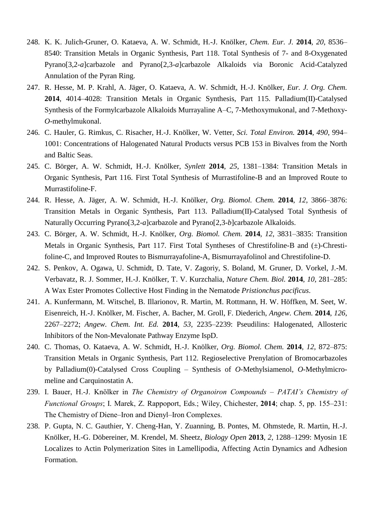- 248. K. K. Julich-Gruner, O. Kataeva, A. W. Schmidt, H.-J. Knölker, *Chem. Eur. J.* **2014**, *20*, 8536– 8540: Transition Metals in Organic Synthesis, Part 118. Total Synthesis of 7- and 8-Oxygenated Pyrano[3,2-*a*]carbazole and Pyrano[2,3-*a*]carbazole Alkaloids via Boronic Acid-Catalyzed Annulation of the Pyran Ring.
- 247. R. Hesse, M. P. Krahl, A. Jäger, O. Kataeva, A. W. Schmidt, H.-J. Knölker, *Eur. J. Org. Chem.* **2014**, 4014–4028: Transition Metals in Organic Synthesis, Part 115. Palladium(II)-Catalysed Synthesis of the Formylcarbazole Alkaloids Murrayaline A–C, 7-Methoxymukonal, and 7-Methoxy-*O*-methylmukonal.
- 246. C. Hauler, G. Rimkus, C. Risacher, H.-J. Knölker, W. Vetter, *Sci. Total Environ.* **2014**, *490*, 994– 1001: Concentrations of Halogenated Natural Products versus PCB 153 in Bivalves from the North and Baltic Seas.
- 245. C. Börger, A. W. Schmidt, H.-J. Knölker, *Synlett* **2014**, *25*, 1381–1384: Transition Metals in Organic Synthesis, Part 116. First Total Synthesis of Murrastifoline-B and an Improved Route to Murrastifoline-F.
- 244. R. Hesse, A. Jäger, A. W. Schmidt, H.-J. Knölker, *Org. Biomol. Chem.* **2014**, *12*, 3866–3876: Transition Metals in Organic Synthesis, Part 113. Palladium(II)-Catalysed Total Synthesis of Naturally Occurring Pyrano[3,2-*a*]carbazole and Pyrano[2,3-*b*]carbazole Alkaloids.
- 243. C. Börger, A. W. Schmidt, H.-J. Knölker, *Org. Biomol. Chem.* **2014**, *12*, 3831–3835: Transition Metals in Organic Synthesis, Part 117. First Total Syntheses of Chrestifoline-B and (±)-Chrestifoline-C, and Improved Routes to Bismurrayafoline-A, Bismurrayafolinol and Chrestifoline-D.
- 242. S. Penkov, A. Ogawa, U. Schmidt, D. Tate, V. Zagoriy, S. Boland, M. Gruner, D. Vorkel, J.-M. Verbavatz, R. J. Sommer, H.-J. Knölker, T. V. Kurzchalia, *Nature Chem. Biol.* **2014**, *10*, 281–285: A Wax Ester Promotes Collective Host Finding in the Nematode *Pristionchus pacificus*.
- 241. A. Kunfermann, M. Witschel, B. Illarionov, R. Martin, M. Rottmann, H. W. Höffken, M. Seet, W. Eisenreich, H.-J. Knölker, M. Fischer, A. Bacher, M. Groll, F. Diederich, *Angew. Chem.* **2014**, *126*, 2267–2272; *Angew. Chem. Int. Ed.* **2014**, *53*, 2235–2239: Pseudilins: Halogenated, Allosteric Inhibitors of the Non-Mevalonate Pathway Enzyme IspD.
- 240. C. Thomas, O. Kataeva, A. W. Schmidt, H.-J. Knölker, *Org. Biomol. Chem.* **2014**, *12*, 872–875: Transition Metals in Organic Synthesis, Part 112. Regioselective Prenylation of Bromocarbazoles by Palladium(0)-Catalysed Cross Coupling – Synthesis of *O*-Methylsiamenol, *O*-Methylmicromeline and Carquinostatin A.
- 239. I. Bauer, H.-J. Knölker in *The Chemistry of Organoiron Compounds – PATAI's Chemistry of Functional Groups*; I. Marek, Z. Rappoport, Eds.; Wiley, Chichester, **2014**; chap. 5, pp. 155–231: The Chemistry of Diene–Iron and Dienyl–Iron Complexes.
- 238. P. Gupta, N. C. Gauthier, Y. Cheng-Han, Y. Zuanning, B. Pontes, M. Ohmstede, R. Martin, H.-J. Knölker, H.-G. Döbereiner, M. Krendel, M. Sheetz, *Biology Open* **2013**, *2*, 1288–1299: Myosin 1E Localizes to Actin Polymerization Sites in Lamellipodia, Affecting Actin Dynamics and Adhesion Formation.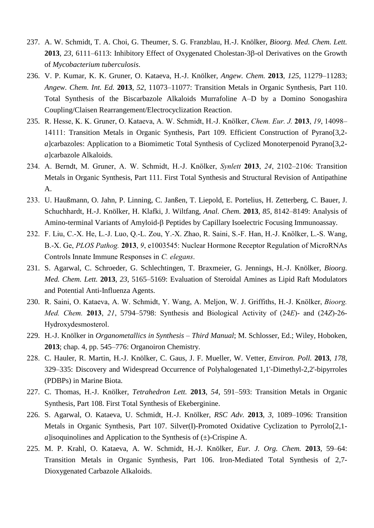- 237. A. W. Schmidt, T. A. Choi, G. Theumer, S. G. Franzblau, H.-J. Knölker, *Bioorg. Med. Chem. Lett.* 2013, 23, 6111–6113: Inhibitory Effect of Oxygenated Cholestan-3 $\beta$ -ol Derivatives on the Growth of *Mycobacterium tuberculosis*.
- 236. V. P. Kumar, K. K. Gruner, O. Kataeva, H.-J. Knölker, *Angew. Chem.* **2013**, *125*, 11279–11283; *Angew. Chem. Int. Ed.* **2013**, *52*, 11073–11077: Transition Metals in Organic Synthesis, Part 110. Total Synthesis of the Biscarbazole Alkaloids Murrafoline A–D by a Domino Sonogashira Coupling/Claisen Rearrangement/Electrocyclization Reaction.
- 235. R. Hesse, K. K. Gruner, O. Kataeva, A. W. Schmidt, H.-J. Knölker, *Chem. Eur. J.* **2013**, *19*, 14098– 14111: Transition Metals in Organic Synthesis, Part 109. Efficient Construction of Pyrano[3,2 *a*]carbazoles: Application to a Biomimetic Total Synthesis of Cyclized Monoterpenoid Pyrano[3,2 *a*]carbazole Alkaloids.
- 234. A. Berndt, M. Gruner, A. W. Schmidt, H.-J. Knölker, *Synlett* **2013**, *24*, 2102–2106: Transition Metals in Organic Synthesis, Part 111. First Total Synthesis and Structural Revision of Antipathine A.
- 233. U. Haußmann, O. Jahn, P. Linning, C. Janßen, T. Liepold, E. Portelius, H. Zetterberg, C. Bauer, J. Schuchhardt, H.-J. Knölker, H. Klafki, J. Wiltfang, *Anal. Chem.* **2013**, *85*, 8142–8149: Analysis of Amino-terminal Variants of Amyloid- $\beta$  Peptides by Capillary Isoelectric Focusing Immunoassay.
- 232. F. Liu, C.-X. He, L.-J. Luo, Q.-L. Zou, Y.-X. Zhao, R. Saini, S.-F. Han, H.-J. Knölker, L.-S. Wang, B.-X. Ge, *PLOS Pathog.* **2013**, *9*, e1003545: Nuclear Hormone Receptor Regulation of MicroRNAs Controls Innate Immune Responses in *C. elegans*.
- 231. S. Agarwal, C. Schroeder, G. Schlechtingen, T. Braxmeier, G. Jennings, H.-J. Knölker, *Bioorg. Med. Chem. Lett.* **2013**, *23*, 5165–5169: Evaluation of Steroidal Amines as Lipid Raft Modulators and Potential Anti-Influenza Agents.
- 230. R. Saini, O. Kataeva, A. W. Schmidt, Y. Wang, A. Meljon, W. J. Griffiths, H.-J. Knölker, *Bioorg. Med. Chem.* **2013**, *21*, 5794–5798: Synthesis and Biological Activity of (24*E*)- and (24*Z*)-26- Hydroxydesmosterol.
- 229. H.-J. Knölker in *Organometallics in Synthesis – Third Manual*; M. Schlosser, Ed.; Wiley, Hoboken, **2013**; chap. 4, pp. 545–776: Organoiron Chemistry.
- 228. C. Hauler, R. Martin, H.-J. Knölker, C. Gaus, J. F. Mueller, W. Vetter, *Environ. Poll.* **2013**, *178*, 329–335: Discovery and Widespread Occurrence of Polyhalogenated 1,1'-Dimethyl-2,2'-bipyrroles (PDBPs) in Marine Biota.
- 227. C. Thomas, H.-J. Knölker, *Tetrahedron Lett.* **2013**, *54*, 591–593: Transition Metals in Organic Synthesis, Part 108. First Total Synthesis of Ekeberginine.
- 226. S. Agarwal, O. Kataeva, U. Schmidt, H.-J. Knölker, *RSC Adv.* **2013**, *3*, 1089–1096: Transition Metals in Organic Synthesis, Part 107. Silver(I)-Promoted Oxidative Cyclization to Pyrrolo[2,1 *a*]isoquinolines and Application to the Synthesis of  $(\pm)$ -Crispine A.
- 225. M. P. Krahl, O. Kataeva, A. W. Schmidt, H.-J. Knölker, *Eur. J. Org. Chem.* **2013**, 59–64: Transition Metals in Organic Synthesis, Part 106. Iron-Mediated Total Synthesis of 2,7- Dioxygenated Carbazole Alkaloids.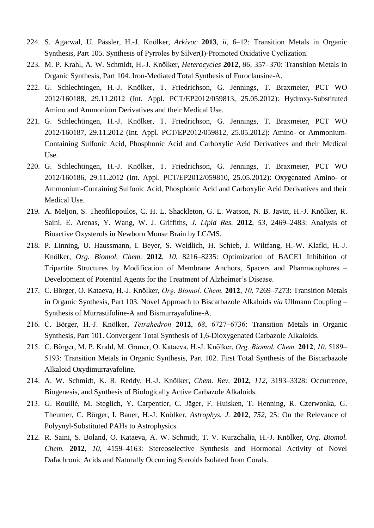- 224. S. Agarwal, U. Pässler, H.-J. Knölker, *Arkivoc* **2013**, *ii*, 6–12: Transition Metals in Organic Synthesis, Part 105. Synthesis of Pyrroles by Silver(I)-Promoted Oxidative Cyclization.
- 223. M. P. Krahl, A. W. Schmidt, H.-J. Knölker, *Heterocycles* **2012**, *86*, 357–370: Transition Metals in Organic Synthesis, Part 104. Iron-Mediated Total Synthesis of Furoclausine-A.
- 222. G. Schlechtingen, H.-J. Knölker, T. Friedrichson, G. Jennings, T. Braxmeier, PCT WO 2012/160188, 29.11.2012 (Int. Appl. PCT/EP2012/059813, 25.05.2012): Hydroxy-Substituted Amino and Ammonium Derivatives and their Medical Use.
- 221. G. Schlechtingen, H.-J. Knölker, T. Friedrichson, G. Jennings, T. Braxmeier, PCT WO 2012/160187, 29.11.2012 (Int. Appl. PCT/EP2012/059812, 25.05.2012): Amino- or Ammonium-Containing Sulfonic Acid, Phosphonic Acid and Carboxylic Acid Derivatives and their Medical Use.
- 220. G. Schlechtingen, H.-J. Knölker, T. Friedrichson, G. Jennings, T. Braxmeier, PCT WO 2012/160186, 29.11.2012 (Int. Appl. PCT/EP2012/059810, 25.05.2012): Oxygenated Amino- or Ammonium-Containing Sulfonic Acid, Phosphonic Acid and Carboxylic Acid Derivatives and their Medical Use.
- 219. A. Meljon, S. Theofilopoulos, C. H. L. Shackleton, G. L. Watson, N. B. Javitt, H.-J. Knölker, R. Saini, E. Arenas, Y. Wang, W. J. Griffiths, *J. Lipid Res.* **2012**, *53*, 2469–2483: Analysis of Bioactive Oxysterols in Newborn Mouse Brain by LC/MS.
- 218. P. Linning, U. Haussmann, I. Beyer, S. Weidlich, H. Schieb, J. Wiltfang, H.-W. Klafki, H.-J. Knölker, *Org. Biomol. Chem.* **2012**, *10*, 8216–8235: Optimization of BACE1 Inhibition of Tripartite Structures by Modification of Membrane Anchors, Spacers and Pharmacophores – Development of Potential Agents for the Treatment of Alzheimer's Disease.
- 217. C. Börger, O. Kataeva, H.-J. Knölker, *Org. Biomol. Chem.* **2012**, *10*, 7269–7273: Transition Metals in Organic Synthesis, Part 103. Novel Approach to Biscarbazole Alkaloids *via* Ullmann Coupling – Synthesis of Murrastifoline-A and Bismurrayafoline-A.
- 216. C. Börger, H.-J. Knölker, *Tetrahedron* **2012**, *68*, 6727–6736: Transition Metals in Organic Synthesis, Part 101. Convergent Total Synthesis of 1,6-Dioxygenated Carbazole Alkaloids.
- 215. C. Börger, M. P. Krahl, M. Gruner, O. Kataeva, H.-J. Knölker, *Org. Biomol. Chem.* **2012**, *10*, 5189– 5193: Transition Metals in Organic Synthesis, Part 102. First Total Synthesis of the Biscarbazole Alkaloid Oxydimurrayafoline.
- 214. A. W. Schmidt, K. R. Reddy, H.-J. Knölker, *Chem. Rev.* **2012**, *112*, 3193–3328: Occurrence, Biogenesis, and Synthesis of Biologically Active Carbazole Alkaloids.
- 213. G. Rouillé, M. Steglich, Y. Carpentier, C. Jäger, F. Huisken, T. Henning, R. Czerwonka, G. Theumer, C. Börger, I. Bauer, H.-J. Knölker, *Astrophys. J.* **2012**, *752*, 25: On the Relevance of Polyynyl-Substituted PAHs to Astrophysics.
- 212. R. Saini, S. Boland, O. Kataeva, A. W. Schmidt, T. V. Kurzchalia, H.-J. Knölker, *Org. Biomol. Chem.* **2012**, *10*, 4159–4163: Stereoselective Synthesis and Hormonal Activity of Novel Dafachronic Acids and Naturally Occurring Steroids Isolated from Corals.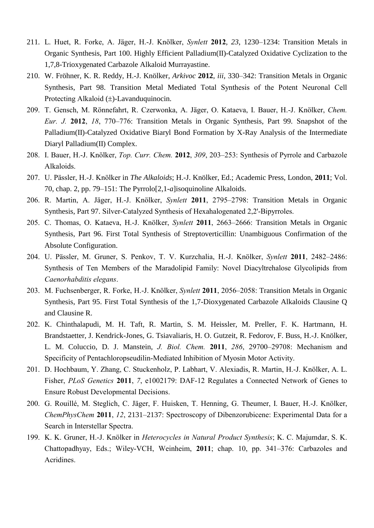- 211. L. Huet, R. Forke, A. Jäger, H.-J. Knölker, *Synlett* **2012**, *23*, 1230–1234: Transition Metals in Organic Synthesis, Part 100. Highly Efficient Palladium(II)-Catalyzed Oxidative Cyclization to the 1,7,8-Trioxygenated Carbazole Alkaloid Murrayastine.
- 210. W. Fröhner, K. R. Reddy, H.-J. Knölker, *Arkivoc* **2012**, *iii*, 330–342: Transition Metals in Organic Synthesis, Part 98. Transition Metal Mediated Total Synthesis of the Potent Neuronal Cell Protecting Alkaloid  $(\pm)$ -Lavanduquinocin.
- 209. T. Gensch, M. Rönnefahrt, R. Czerwonka, A. Jäger, O. Kataeva, I. Bauer, H.-J. Knölker, *Chem. Eur. J.* **2012**, *18*, 770–776: Transition Metals in Organic Synthesis, Part 99. Snapshot of the Palladium(II)-Catalyzed Oxidative Biaryl Bond Formation by X-Ray Analysis of the Intermediate Diaryl Palladium(II) Complex.
- 208. I. Bauer, H.-J. Knölker, *Top. Curr. Chem.* **2012**, *309*, 203–253: Synthesis of Pyrrole and Carbazole Alkaloids.
- 207. U. Pässler, H.-J. Knölker in *The Alkaloids*; H.-J. Knölker, Ed.; Academic Press, London, **2011**; Vol. 70, chap. 2, pp. 79–151: The Pyrrolo[2,1-*a*]isoquinoline Alkaloids.
- 206. R. Martin, A. Jäger, H.-J. Knölker, *Synlett* **2011**, 2795–2798: Transition Metals in Organic Synthesis, Part 97. Silver-Catalyzed Synthesis of Hexahalogenated 2,2'-Bipyrroles.
- 205. C. Thomas, O. Kataeva, H.-J. Knölker, *Synlett* **2011**, 2663–2666: Transition Metals in Organic Synthesis, Part 96. First Total Synthesis of Streptoverticillin: Unambiguous Confirmation of the Absolute Configuration.
- 204. U. Pässler, M. Gruner, S. Penkov, T. V. Kurzchalia, H.-J. Knölker, *Synlett* **2011**, 2482–2486: Synthesis of Ten Members of the Maradolipid Family: Novel Diacyltrehalose Glycolipids from *Caenorhabditis elegans*.
- 203. M. Fuchsenberger, R. Forke, H.-J. Knölker, *Synlett* **2011**, 2056–2058: Transition Metals in Organic Synthesis, Part 95. First Total Synthesis of the 1,7-Dioxygenated Carbazole Alkaloids Clausine Q and Clausine R.
- 202. K. Chinthalapudi, M. H. Taft, R. Martin, S. M. Heissler, M. Preller, F. K. Hartmann, H. Brandstaetter, J. Kendrick-Jones, G. Tsiavaliaris, H. O. Gutzeit, R. Fedorov, F. Buss, H.-J. Knölker, L. M. Coluccio, D. J. Manstein, *J. Biol. Chem.* **2011**, *286*, 29700–29708: Mechanism and Specificity of Pentachloropseudilin-Mediated Inhibition of Myosin Motor Activity.
- 201. D. Hochbaum, Y. Zhang, C. Stuckenholz, P. Labhart, V. Alexiadis, R. Martin, H.-J. Knölker, A. L. Fisher, *PLoS Genetics* **2011**, *7*, e1002179: DAF-12 Regulates a Connected Network of Genes to Ensure Robust Developmental Decisions.
- 200. G. Rouillé, M. Steglich, C. Jäger, F. Huisken, T. Henning, G. Theumer, I. Bauer, H.-J. Knölker, *ChemPhysChem* **2011**, *12*, 2131–2137: Spectroscopy of Dibenzorubicene: Experimental Data for a Search in Interstellar Spectra.
- 199. K. K. Gruner, H.-J. Knölker in *Heterocycles in Natural Product Synthesis*; K. C. Majumdar, S. K. Chattopadhyay, Eds.; Wiley-VCH, Weinheim, **2011**; chap. 10, pp. 341–376: Carbazoles and Acridines.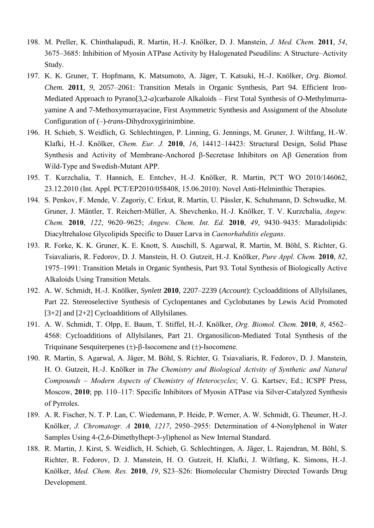- 198. M. Preller, K. Chinthalapudi, R. Martin, H.-J. Knölker, D. J. Manstein, *J. Med. Chem.* **2011**, *54*, 3675–3685: Inhibition of Myosin ATPase Activity by Halogenated Pseudilins: A Structure–Activity Study.
- 197. K. K. Gruner, T. Hopfmann, K. Matsumoto, A. Jäger, T. Katsuki, H.-J. Knölker, *Org. Biomol. Chem.* **2011**, *9*, 2057–2061: Transition Metals in Organic Synthesis, Part 94. Efficient Iron-Mediated Approach to Pyrano[3,2-*a*]carbazole Alkaloids – First Total Synthesis of *O*-Methylmurrayamine A and 7-Methoxymurrayacine, First Asymmetric Synthesis and Assignment of the Absolute Configuration of (–)-*trans*-Dihydroxygirinimbine.
- 196. H. Schieb, S. Weidlich, G. Schlechtingen, P. Linning, G. Jennings, M. Gruner, J. Wiltfang, H.-W. Klafki, H.-J. Knölker, *Chem. Eur. J.* **2010**, *16*, 14412–14423: Structural Design, Solid Phase Synthesis and Activity of Membrane-Anchored  $\beta$ -Secretase Inhibitors on A $\beta$  Generation from Wild-Type and Swedish-Mutant APP.
- 195. T. Kurzchalia, T. Hannich, E. Entchev, H.-J. Knölker, R. Martin, PCT WO 2010/146062, 23.12.2010 (Int. Appl. PCT/EP2010/058408, 15.06.2010): Novel Anti-Helminthic Therapies.
- 194. S. Penkov, F. Mende, V. Zagoriy, C. Erkut, R. Martin, U. Pässler, K. Schuhmann, D. Schwudke, M. Gruner, J. Mäntler, T. Reichert-Müller, A. Shevchenko, H.-J. Knölker, T. V. Kurzchalia, *Angew. Chem.* **2010**, *122*, 9620–9625; *Angew. Chem. Int. Ed.* **2010**, *49*, 9430–9435: Maradolipids: Diacyltrehalose Glycolipids Specific to Dauer Larva in *Caenorhabditis elegans*.
- 193. R. Forke, K. K. Gruner, K. E. Knott, S. Auschill, S. Agarwal, R. Martin, M. Böhl, S. Richter, G. Tsiavaliaris, R. Fedorov, D. J. Manstein, H. O. Gutzeit, H.-J. Knölker, *Pure Appl. Chem.* **2010**, *82*, 1975–1991: Transition Metals in Organic Synthesis, Part 93. Total Synthesis of Biologically Active Alkaloids Using Transition Metals.
- 192. A. W. Schmidt, H.-J. Knölker, *Synlett* **2010**, 2207–2239 (*Account*): Cycloadditions of Allylsilanes, Part 22. Stereoselective Synthesis of Cyclopentanes and Cyclobutanes by Lewis Acid Promoted [3+2] and [2+2] Cycloadditions of Allylsilanes.
- 191. A. W. Schmidt, T. Olpp, E. Baum, T. Stiffel, H.-J. Knölker, *Org. Biomol. Chem.* **2010**, *8*, 4562– 4568: Cycloadditions of Allylsilanes, Part 21. Organosilicon-Mediated Total Synthesis of the Triquinane Sesquiterpenes  $(\pm)$ - $\beta$ -Isocomene and  $(\pm)$ -Isocomene.
- 190. R. Martin, S. Agarwal, A. Jäger, M. Böhl, S. Richter, G. Tsiavaliaris, R. Fedorov, D. J. Manstein, H. O. Gutzeit, H.-J. Knölker in *The Chemistry and Biological Activity of Synthetic and Natural Compounds – Modern Aspects of Chemistry of Heterocycles*; V. G. Kartsev, Ed.; ICSPF Press, Moscow, **2010**; pp. 110–117: Specific Inhibitors of Myosin ATPase via Silver-Catalyzed Synthesis of Pyrroles.
- 189. A. R. Fischer, N. T. P. Lan, C. Wiedemann, P. Heide, P. Werner, A. W. Schmidt, G. Theumer, H.-J. Knölker, *J. Chromatogr. A* **2010**, *1217*, 2950–2955: Determination of 4-Nonylphenol in Water Samples Using 4-(2,6-Dimethylhept-3-yl)phenol as New Internal Standard.
- 188. R. Martin, J. Kirst, S. Weidlich, H. Schieb, G. Schlechtingen, A. Jäger, L. Rajendran, M. Böhl, S. Richter, R. Fedorov, D. J. Manstein, H. O. Gutzeit, H. Klafki, J. Wiltfang, K. Simons, H.-J. Knölker, *Med. Chem. Res.* **2010**, *19*, S23–S26: Biomolecular Chemistry Directed Towards Drug Development.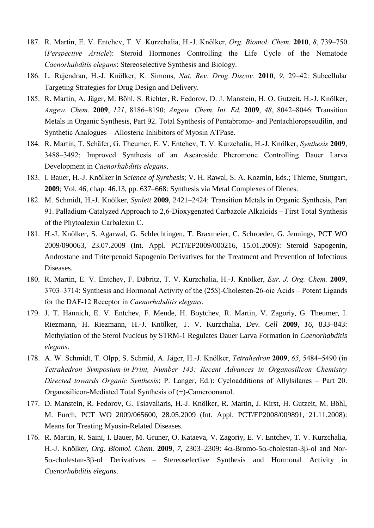- 187. R. Martin, E. V. Entchev, T. V. Kurzchalia, H.-J. Knölker, *Org. Biomol. Chem.* **2010**, *8*, 739–750 (*Perspective Article*): Steroid Hormones Controlling the Life Cycle of the Nematode *Caenorhabditis elegans*: Stereoselective Synthesis and Biology.
- 186. L. Rajendran, H.-J. Knölker, K. Simons, *Nat. Rev. Drug Discov.* **2010**, *9*, 29–42: Subcellular Targeting Strategies for Drug Design and Delivery.
- 185. R. Martin, A. Jäger, M. Böhl, S. Richter, R. Fedorov, D. J. Manstein, H. O. Gutzeit, H.-J. Knölker, *Angew. Chem.* **2009**, *121*, 8186–8190; *Angew. Chem. Int. Ed.* **2009**, *48*, 8042–8046: Transition Metals in Organic Synthesis, Part 92. Total Synthesis of Pentabromo- and Pentachloropseudilin, and Synthetic Analogues – Allosteric Inhibitors of Myosin ATPase.
- 184. R. Martin, T. Schäfer, G. Theumer, E. V. Entchev, T. V. Kurzchalia, H.-J. Knölker, *Synthesis* **2009**, 3488–3492: Improved Synthesis of an Ascaroside Pheromone Controlling Dauer Larva Development in *Caenorhabditis elegans*.
- 183. I. Bauer, H.-J. Knölker in *Science of Synthesis*; V. H. Rawal, S. A. Kozmin, Eds.; Thieme, Stuttgart, **2009**; Vol. 46, chap. 46.13, pp. 637–668: Synthesis via Metal Complexes of Dienes.
- 182. M. Schmidt, H.-J. Knölker, *Synlett* **2009**, 2421–2424: Transition Metals in Organic Synthesis, Part 91. Palladium-Catalyzed Approach to 2,6-Dioxygenated Carbazole Alkaloids – First Total Synthesis of the Phytoalexin Carbalexin C.
- 181. H.-J. Knölker, S. Agarwal, G. Schlechtingen, T. Braxmeier, C. Schroeder, G. Jennings, PCT WO 2009/090063, 23.07.2009 (Int. Appl. PCT/EP2009/000216, 15.01.2009): Steroid Sapogenin, Androstane and Triterpenoid Sapogenin Derivatives for the Treatment and Prevention of Infectious Diseases.
- 180. R. Martin, E. V. Entchev, F. Däbritz, T. V. Kurzchalia, H.-J. Knölker, *Eur. J. Org. Chem.* **2009**, 3703–3714: Synthesis and Hormonal Activity of the (25*S*)-Cholesten-26-oic Acids – Potent Ligands for the DAF-12 Receptor in *Caenorhabditis elegans*.
- 179. J. T. Hannich, E. V. Entchev, F. Mende, H. Boytchev, R. Martin, V. Zagoriy, G. Theumer, I. Riezmann, H. Riezmann, H.-J. Knölker, T. V. Kurzchalia, *Dev. Cell* **2009**, *16*, 833–843: Methylation of the Sterol Nucleus by STRM-1 Regulates Dauer Larva Formation in *Caenorhabditis elegans*.
- 178. A. W. Schmidt, T. Olpp, S. Schmid, A. Jäger, H.-J. Knölker, *Tetrahedron* **2009**, *65*, 5484–5490 (in *Tetrahedron Symposium-in-Print, Number 143: Recent Advances in Organosilicon Chemistry Directed towards Organic Synthesis*; P. Langer, Ed.): Cycloadditions of Allylsilanes – Part 20. Organosilicon-Mediated Total Synthesis of  $(\pm)$ -Cameroonanol.
- 177. D. Manstein, R. Fedorov, G. Tsiavaliaris, H.-J. Knölker, R. Martin, J. Kirst, H. Gutzeit, M. Böhl, M. Furch, PCT WO 2009/065600, 28.05.2009 (Int. Appl. PCT/EP2008/009891, 21.11.2008): Means for Treating Myosin-Related Diseases.
- 176. R. Martin, R. Saini, I. Bauer, M. Gruner, O. Kataeva, V. Zagoriy, E. V. Entchev, T. V. Kurzchalia, H.-J. Knölker, *Org. Biomol. Chem.* 2009, 7, 2303–2309:  $4\alpha$ -Bromo-5 $\alpha$ -cholestan-3 $\beta$ -ol and Nor- $5\alpha$ -cholestan-3 $\beta$ -ol Derivatives – Stereoselective Synthesis and Hormonal Activity in *Caenorhabditis elegans*.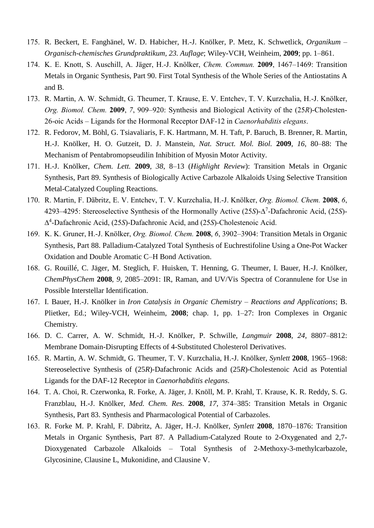- 175. R. Beckert, E. Fanghänel, W. D. Habicher, H.-J. Knölker, P. Metz, K. Schwetlick, *Organikum – Organisch-chemisches Grundpraktikum, 23. Auflage*; Wiley-VCH, Weinheim, **2009**; pp. 1–861.
- 174. K. E. Knott, S. Auschill, A. Jäger, H.-J. Knölker, *Chem. Commun.* **2009**, 1467–1469: Transition Metals in Organic Synthesis, Part 90. First Total Synthesis of the Whole Series of the Antiostatins A and B.
- 173. R. Martin, A. W. Schmidt, G. Theumer, T. Krause, E. V. Entchev, T. V. Kurzchalia, H.-J. Knölker, *Org. Biomol. Chem.* **2009**, *7*, 909–920: Synthesis and Biological Activity of the (25*R*)-Cholesten-26-oic Acids – Ligands for the Hormonal Receptor DAF-12 in *Caenorhabditis elegans*.
- 172. R. Fedorov, M. Böhl, G. Tsiavaliaris, F. K. Hartmann, M. H. Taft, P. Baruch, B. Brenner, R. Martin, H.-J. Knölker, H. O. Gutzeit, D. J. Manstein, *Nat. Struct. Mol. Biol.* **2009**, *16*, 80–88: The Mechanism of Pentabromopseudilin Inhibition of Myosin Motor Activity.
- 171. H.-J. Knölker, *Chem. Lett.* **2009**, *38*, 8–13 (*Highlight Review*): Transition Metals in Organic Synthesis, Part 89. Synthesis of Biologically Active Carbazole Alkaloids Using Selective Transition Metal-Catalyzed Coupling Reactions.
- 170. R. Martin, F. Däbritz, E. V. Entchev, T. V. Kurzchalia, H.-J. Knölker, *Org. Biomol. Chem.* **2008**, *6*, 4293–4295: Stereoselective Synthesis of the Hormonally Active (25*S*)- 7 -Dafachronic Acid, (25*S*)- 4 -Dafachronic Acid, (25*S*)-Dafachronic Acid, and (25*S*)-Cholestenoic Acid.
- 169. K. K. Gruner, H.-J. Knölker, *Org. Biomol. Chem.* **2008**, *6*, 3902–3904: Transition Metals in Organic Synthesis, Part 88. Palladium-Catalyzed Total Synthesis of Euchrestifoline Using a One-Pot Wacker Oxidation and Double Aromatic C–H Bond Activation.
- 168. G. Rouillé, C. Jäger, M. Steglich, F. Huisken, T. Henning, G. Theumer, I. Bauer, H.-J. Knölker, *ChemPhysChem* **2008**, *9*, 2085–2091: IR, Raman, and UV/Vis Spectra of Corannulene for Use in Possible Interstellar Identification.
- 167. I. Bauer, H.-J. Knölker in *Iron Catalysis in Organic Chemistry – Reactions and Applications*; B. Plietker, Ed.; Wiley-VCH, Weinheim, **2008**; chap. 1, pp. 1–27: Iron Complexes in Organic Chemistry.
- 166. D. C. Carrer, A. W. Schmidt, H.-J. Knölker, P. Schwille, *Langmuir* **2008**, *24*, 8807–8812: Membrane Domain-Disrupting Effects of 4-Substituted Cholesterol Derivatives.
- 165. R. Martin, A. W. Schmidt, G. Theumer, T. V. Kurzchalia, H.-J. Knölker, *Synlett* **2008**, 1965–1968: Stereoselective Synthesis of (25*R*)-Dafachronic Acids and (25*R*)-Cholestenoic Acid as Potential Ligands for the DAF-12 Receptor in *Caenorhabditis elegans*.
- 164. T. A. Choi, R. Czerwonka, R. Forke, A. Jäger, J. Knöll, M. P. Krahl, T. Krause, K. R. Reddy, S. G. Franzblau, H.-J. Knölker, *Med. Chem. Res.* **2008**, *17*, 374–385: Transition Metals in Organic Synthesis, Part 83. Synthesis and Pharmacological Potential of Carbazoles.
- 163. R. Forke M. P. Krahl, F. Däbritz, A. Jäger, H.-J. Knölker, *Synlett* **2008**, 1870–1876: Transition Metals in Organic Synthesis, Part 87. A Palladium-Catalyzed Route to 2-Oxygenated and 2,7- Dioxygenated Carbazole Alkaloids – Total Synthesis of 2-Methoxy-3-methylcarbazole, Glycosinine, Clausine L, Mukonidine, and Clausine V.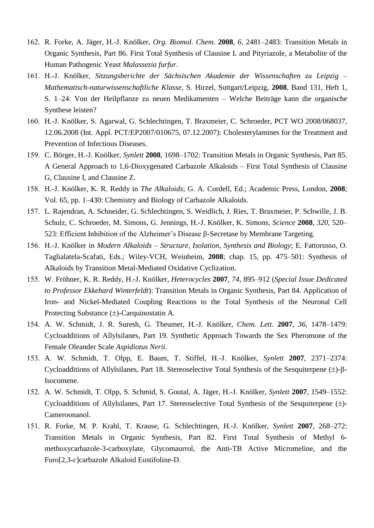- 162. R. Forke, A. Jäger, H.-J. Knölker, *Org. Biomol. Chem.* **2008**, *6*, 2481–2483: Transition Metals in Organic Synthesis, Part 86. First Total Synthesis of Clausine L and Pityriazole, a Metabolite of the Human Pathogenic Yeast *Malassezia furfur*.
- 161. H.-J. Knölker, *Sitzungsberichte der Sächsischen Akademie der Wissenschaften zu Leipzig – Mathematisch-naturwissenschaftliche Klasse*, S. Hirzel, Suttgart/Leipzig, **2008**, Band 131, Heft 1, S. 1–24: Von der Heilpflanze zu neuen Medikamenten – Welche Beiträge kann die organische Synthese leisten?
- 160. H.-J. Knölker, S. Agarwal, G. Schlechtingen, T. Braxmeier, C. Schroeder, PCT WO 2008/068037, 12.06.2008 (Int. Appl. PCT/EP2007/010675, 07.12.2007): Cholesterylamines for the Treatment and Prevention of Infectious Diseases.
- 159. C. Börger, H.-J. Knölker, *Synlett* **2008**, 1698–1702: Transition Metals in Organic Synthesis, Part 85. A General Approach to 1,6-Dioxygenated Carbazole Alkaloids – First Total Synthesis of Clausine G, Clausine I, and Clausine Z.
- 158. H.-J. Knölker, K. R. Reddy in *The Alkaloids*; G. A. Cordell, Ed.; Academic Press, London, **2008**; Vol. 65, pp. 1–430: Chemistry and Biology of Carbazole Alkaloids.
- 157. L. Rajendran, A. Schneider, G. Schlechtingen, S. Weidlich, J. Ries, T. Braxmeier, P. Schwille, J. B. Schulz, C. Schroeder, M. Simons, G. Jennings, H.-J. Knölker, K. Simons, *Science* **2008**, *320*, 520– 523: Efficient Inhibition of the Alzheimer's Disease  $\beta$ -Secretase by Membrane Targeting.
- 156. H.-J. Knölker in *Modern Alkaloids – Structure, Isolation, Synthesis and Biology*; E. Fattorusso, O. Taglialatela-Scafati, Eds.; Wiley-VCH, Weinheim, **2008**; chap. 15, pp. 475–501: Synthesis of Alkaloids by Transition Metal-Mediated Oxidative Cyclization.
- 155. W. Fröhner, K. R. Reddy, H.-J. Knölker, *Heterocycles* **2007**, *74*, 895–912 (*Special Issue Dedicated to Professor Ekkehard Winterfeldt*): Transition Metals in Organic Synthesis, Part 84. Application of Iron- and Nickel-Mediated Coupling Reactions to the Total Synthesis of the Neuronal Cell Protecting Substance  $(\pm)$ -Carquinostatin A.
- 154. A. W. Schmidt, J. R. Suresh, G. Theumer, H.-J. Knölker, *Chem. Lett.* **2007**, *36*, 1478–1479: Cycloadditions of Allylsilanes, Part 19. Synthetic Approach Towards the Sex Pheromone of the Female Oleander Scale *Aspidiotus Nerii*.
- 153. A. W. Schmidt, T. Olpp, E. Baum, T. Stiffel, H.-J. Knölker, *Synlett* **2007**, 2371–2374: Cycloadditions of Allylsilanes, Part 18. Stereoselective Total Synthesis of the Sesquiterpene  $(\pm)$ - $\beta$ -Isocomene.
- 152. A. W. Schmidt, T. Olpp, S. Schmid, S. Goutal, A. Jäger, H.-J. Knölker, *Synlett* **2007**, 1549–1552: Cycloadditions of Allylsilanes, Part 17. Stereoselective Total Synthesis of the Sesquiterpene  $(\pm)$ -Cameroonanol.
- 151. R. Forke, M. P. Krahl, T. Krause, G. Schlechtingen, H.-J. Knölker, *Synlett* **2007**, 268–272: Transition Metals in Organic Synthesis, Part 82. First Total Synthesis of Methyl 6 methoxycarbazole-3-carboxylate, Glycomaurrol, the Anti-TB Active Micromeline, and the Furo[2,3-*c*]carbazole Alkaloid Eustifoline-D.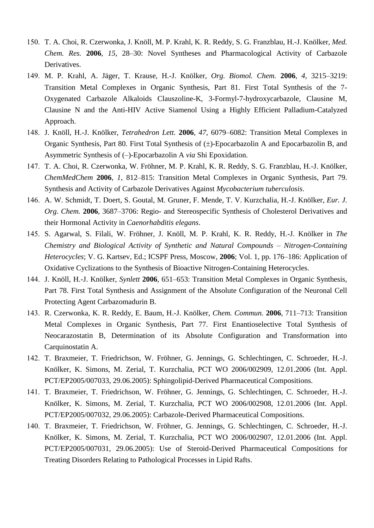- 150. T. A. Choi, R. Czerwonka, J. Knöll, M. P. Krahl, K. R. Reddy, S. G. Franzblau, H.-J. Knölker, *Med. Chem. Res.* **2006**, *15*, 28–30: Novel Syntheses and Pharmacological Activity of Carbazole Derivatives.
- 149. M. P. Krahl, A. Jäger, T. Krause, H.-J. Knölker, *Org. Biomol. Chem.* **2006**, *4*, 3215–3219: Transition Metal Complexes in Organic Synthesis, Part 81. First Total Synthesis of the 7- Oxygenated Carbazole Alkaloids Clauszoline-K, 3-Formyl-7-hydroxycarbazole, Clausine M, Clausine N and the Anti-HIV Active Siamenol Using a Highly Efficient Palladium-Catalyzed Approach.
- 148. J. Knöll, H.-J. Knölker, *Tetrahedron Lett.* **2006**, *47*, 6079–6082: Transition Metal Complexes in Organic Synthesis, Part 80. First Total Synthesis of ( $\pm$ )-Epocarbazolin A and Epocarbazolin B, and Asymmetric Synthesis of (–)-Epocarbazolin A *via* Shi Epoxidation.
- 147. T. A. Choi, R. Czerwonka, W. Fröhner, M. P. Krahl, K. R. Reddy, S. G. Franzblau, H.-J. Knölker, *ChemMedChem* **2006**, *1*, 812–815: Transition Metal Complexes in Organic Synthesis, Part 79. Synthesis and Activity of Carbazole Derivatives Against *Mycobacterium tuberculosis*.
- 146. A. W. Schmidt, T. Doert, S. Goutal, M. Gruner, F. Mende, T. V. Kurzchalia, H.-J. Knölker, *Eur. J. Org. Chem.* **2006**, 3687–3706: Regio- and Stereospecific Synthesis of Cholesterol Derivatives and their Hormonal Activity in *Caenorhabditis elegans*.
- 145. S. Agarwal, S. Filali, W. Fröhner, J. Knöll, M. P. Krahl, K. R. Reddy, H.-J. Knölker in *The Chemistry and Biological Activity of Synthetic and Natural Compounds – Nitrogen-Containing Heterocycles*; V. G. Kartsev, Ed.; ICSPF Press, Moscow, **2006**; Vol. 1, pp. 176–186: Application of Oxidative Cyclizations to the Synthesis of Bioactive Nitrogen-Containing Heterocycles.
- 144. J. Knöll, H.-J. Knölker, *Synlett* **2006**, 651–653: Transition Metal Complexes in Organic Synthesis, Part 78. First Total Synthesis and Assignment of the Absolute Configuration of the Neuronal Cell Protecting Agent Carbazomadurin B.
- 143. R. Czerwonka, K. R. Reddy, E. Baum, H.-J. Knölker, *Chem. Commun.* **2006**, 711–713: Transition Metal Complexes in Organic Synthesis, Part 77. First Enantioselective Total Synthesis of Neocarazostatin B, Determination of its Absolute Configuration and Transformation into Carquinostatin A.
- 142. T. Braxmeier, T. Friedrichson, W. Fröhner, G. Jennings, G. Schlechtingen, C. Schroeder, H.-J. Knölker, K. Simons, M. Zerial, T. Kurzchalia, PCT WO 2006/002909, 12.01.2006 (Int. Appl. PCT/EP2005/007033, 29.06.2005): Sphingolipid-Derived Pharmaceutical Compositions.
- 141. T. Braxmeier, T. Friedrichson, W. Fröhner, G. Jennings, G. Schlechtingen, C. Schroeder, H.-J. Knölker, K. Simons, M. Zerial, T. Kurzchalia, PCT WO 2006/002908, 12.01.2006 (Int. Appl. PCT/EP2005/007032, 29.06.2005): Carbazole-Derived Pharmaceutical Compositions.
- 140. T. Braxmeier, T. Friedrichson, W. Fröhner, G. Jennings, G. Schlechtingen, C. Schroeder, H.-J. Knölker, K. Simons, M. Zerial, T. Kurzchalia, PCT WO 2006/002907, 12.01.2006 (Int. Appl. PCT/EP2005/007031, 29.06.2005): Use of Steroid-Derived Pharmaceutical Compositions for Treating Disorders Relating to Pathological Processes in Lipid Rafts.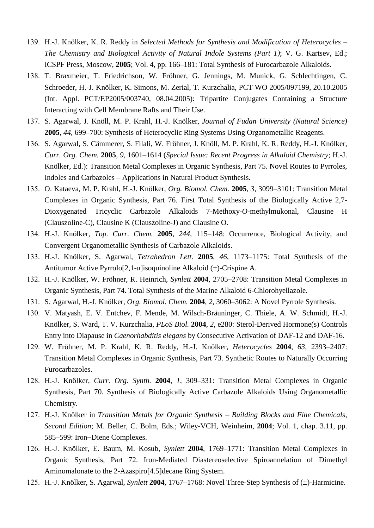- 139. H.-J. Knölker, K. R. Reddy in *Selected Methods for Synthesis and Modification of Heterocycles – The Chemistry and Biological Activity of Natural Indole Systems (Part 1)*; V. G. Kartsev, Ed.; ICSPF Press, Moscow, **2005**; Vol. 4, pp. 166–181: Total Synthesis of Furocarbazole Alkaloids.
- 138. T. Braxmeier, T. Friedrichson, W. Fröhner, G. Jennings, M. Munick, G. Schlechtingen, C. Schroeder, H.-J. Knölker, K. Simons, M. Zerial, T. Kurzchalia, PCT WO 2005/097199, 20.10.2005 (Int. Appl. PCT/EP2005/003740, 08.04.2005): Tripartite Conjugates Containing a Structure Interacting with Cell Membrane Rafts and Their Use.
- 137. S. Agarwal, J. Knöll, M. P. Krahl, H.-J. Knölker, *Journal of Fudan University (Natural Science)* **2005**, *44*, 699–700: Synthesis of Heterocyclic Ring Systems Using Organometallic Reagents.
- 136. S. Agarwal, S. Cämmerer, S. Filali, W. Fröhner, J. Knöll, M. P. Krahl, K. R. Reddy, H.-J. Knölker, *Curr. Org. Chem.* **2005**, *9*, 1601–1614 (*Special Issue: Recent Progress in Alkaloid Chemistry*; H.-J. Knölker, Ed.): Transition Metal Complexes in Organic Synthesis, Part 75. Novel Routes to Pyrroles, Indoles and Carbazoles – Applications in Natural Product Synthesis.
- 135. O. Kataeva, M. P. Krahl, H.-J. Knölker, *Org. Biomol. Chem.* **2005**, *3*, 3099–3101: Transition Metal Complexes in Organic Synthesis, Part 76. First Total Synthesis of the Biologically Active 2,7- Dioxygenated Tricyclic Carbazole Alkaloids 7-Methoxy-*O*-methylmukonal, Clausine H (Clauszoline-C), Clausine K (Clauszoline-J) and Clausine O.
- 134. H.-J. Knölker, *Top. Curr. Chem.* **2005**, *244*, 115–148: Occurrence, Biological Activity, and Convergent Organometallic Synthesis of Carbazole Alkaloids.
- 133. H.-J. Knölker, S. Agarwal, *Tetrahedron Lett.* **2005**, *46*, 1173–1175: Total Synthesis of the Antitumor Active Pyrrolo<sup>[2,1-a]isoquinoline Alkaloid  $(\pm)$ -Crispine A.</sup>
- 132. H.-J. Knölker, W. Fröhner, R. Heinrich, *Synlett* **2004**, 2705–2708: Transition Metal Complexes in Organic Synthesis, Part 74. Total Synthesis of the Marine Alkaloid 6-Chlorohyellazole.
- 131. S. Agarwal, H.-J. Knölker, *Org. Biomol. Chem.* **2004**, *2*, 3060–3062: A Novel Pyrrole Synthesis.
- 130. V. Matyash, E. V. Entchev, F. Mende, M. Wilsch-Bräuninger, C. Thiele, A. W. Schmidt, H.-J. Knölker, S. Ward, T. V. Kurzchalia, *PLoS Biol.* **2004**, *2*, e280: Sterol-Derived Hormone(s) Controls Entry into Diapause in *Caenorhabditis elegans* by Consecutive Activation of DAF-12 and DAF-16.
- 129. W. Fröhner, M. P. Krahl, K. R. Reddy, H.-J. Knölker, *Heterocycles* **2004**, *63*, 2393–2407: Transition Metal Complexes in Organic Synthesis, Part 73. Synthetic Routes to Naturally Occurring Furocarbazoles.
- 128. H.-J. Knölker, *Curr. Org. Synth.* **2004**, *1*, 309–331: Transition Metal Complexes in Organic Synthesis, Part 70. Synthesis of Biologically Active Carbazole Alkaloids Using Organometallic Chemistry.
- 127. H.-J. Knölker in *Transition Metals for Organic Synthesis – Building Blocks and Fine Chemicals*, *Second Edition*; M. Beller, C. Bolm, Eds.; Wiley-VCH, Weinheim, **2004**; Vol. 1, chap. 3.11, pp. 585–599: Iron–Diene Complexes.
- 126. H.-J. Knölker, E. Baum, M. Kosub, *Synlett* **2004**, 1769–1771: Transition Metal Complexes in Organic Synthesis, Part 72. Iron-Mediated Diastereoselective Spiroannelation of Dimethyl Aminomalonate to the 2-Azaspiro[4.5]decane Ring System.
- 125. H.-J. Knölker, S. Agarwal, *Synlett* 2004, 1767–1768: Novel Three-Step Synthesis of ( $\pm$ )-Harmicine.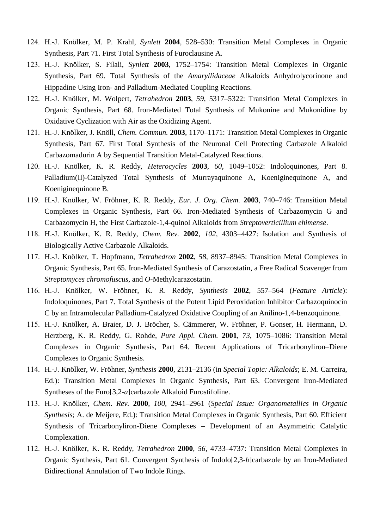- 124. H.-J. Knölker, M. P. Krahl, *Synlett* **2004**, 528–530: Transition Metal Complexes in Organic Synthesis, Part 71. First Total Synthesis of Furoclausine A.
- 123. H.-J. Knölker, S. Filali, *Synlett* **2003**, 1752–1754: Transition Metal Complexes in Organic Synthesis, Part 69. Total Synthesis of the *Amaryllidaceae* Alkaloids Anhydrolycorinone and Hippadine Using Iron- and Palladium-Mediated Coupling Reactions.
- 122. H.-J. Knölker, M. Wolpert, *Tetrahedron* **2003**, *59*, 5317–5322: Transition Metal Complexes in Organic Synthesis, Part 68. Iron-Mediated Total Synthesis of Mukonine and Mukonidine by Oxidative Cyclization with Air as the Oxidizing Agent.
- 121. H.-J. Knölker, J. Knöll, *Chem. Commun.* **2003**, 1170–1171: Transition Metal Complexes in Organic Synthesis, Part 67. First Total Synthesis of the Neuronal Cell Protecting Carbazole Alkaloid Carbazomadurin A by Sequential Transition Metal-Catalyzed Reactions.
- 120. H.-J. Knölker, K. R. Reddy, *Heterocycles* **2003**, *60*, 1049–1052: Indoloquinones, Part 8. Palladium(II)-Catalyzed Total Synthesis of Murrayaquinone A, Koeniginequinone A, and Koeniginequinone B.
- 119. H.-J. Knölker, W. Fröhner, K. R. Reddy, *Eur. J. Org. Chem.* **2003**, 740–746: Transition Metal Complexes in Organic Synthesis, Part 66. Iron-Mediated Synthesis of Carbazomycin G and Carbazomycin H, the First Carbazole-1,4-quinol Alkaloids from *Streptoverticillium ehimense*.
- 118. H.-J. Knölker, K. R. Reddy, *Chem. Rev.* 2002, 102, 4303-4427: Isolation and Synthesis of Biologically Active Carbazole Alkaloids.
- 117. H.-J. Knölker, T. Hopfmann, *Tetrahedron* **2002**, *58*, 8937–8945: Transition Metal Complexes in Organic Synthesis, Part 65. Iron-Mediated Synthesis of Carazostatin, a Free Radical Scavenger from *Streptomyces chromofuscus*, and *O*-Methylcarazostatin.
- 116. H.-J. Knölker, W. Fröhner, K. R. Reddy, *Synthesis* **2002**, 557–564 (*Feature Article*): Indoloquinones, Part 7. Total Synthesis of the Potent Lipid Peroxidation Inhibitor Carbazoquinocin C by an Intramolecular Palladium-Catalyzed Oxidative Coupling of an Anilino-1,4-benzoquinone.
- 115. H.-J. Knölker, A. Braier, D. J. Bröcher, S. Cämmerer, W. Fröhner, P. Gonser, H. Hermann, D. Herzberg, K. R. Reddy, G. Rohde, *Pure Appl. Chem.* **2001**, *73*, 1075–1086: Transition Metal Complexes in Organic Synthesis, Part 64. Recent Applications of Tricarbonyliron–Diene Complexes to Organic Synthesis.
- 114. H.-J. Knölker, W. Fröhner, *Synthesis* **2000**, 2131–2136 (in *Special Topic: Alkaloids*; E. M. Carreira, Ed.): Transition Metal Complexes in Organic Synthesis, Part 63. Convergent Iron-Mediated Syntheses of the Furo[3,2-*a*]carbazole Alkaloid Furostifoline.
- 113. H.-J. Knölker, *Chem. Rev.* **2000**, *100*, 2941–2961 (*Special Issue: Organometallics in Organic Synthesis*; A. de Meijere, Ed.): Transition Metal Complexes in Organic Synthesis, Part 60. Efficient Synthesis of Tricarbonyliron-Diene Complexes - Development of an Asymmetric Catalytic Complexation.
- 112. H.-J. Knölker, K. R. Reddy, *Tetrahedron* **2000**, *56*, 4733–4737: Transition Metal Complexes in Organic Synthesis, Part 61. Convergent Synthesis of Indolo[2,3-*b*]carbazole by an Iron-Mediated Bidirectional Annulation of Two Indole Rings.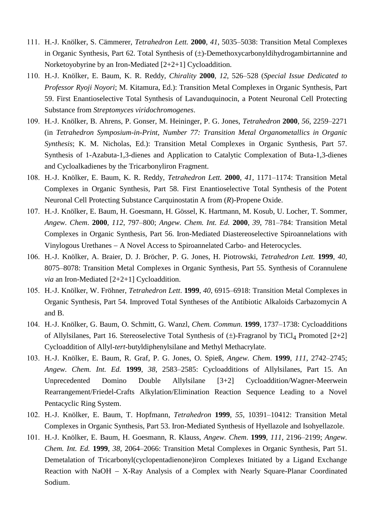- 111. H.-J. Knölker, S. Cämmerer, *Tetrahedron Lett.* **2000**, *41*, 5035–5038: Transition Metal Complexes in Organic Synthesis, Part 62. Total Synthesis of  $(\pm)$ -Demethoxycarbonyldihydrogambirtannine and Norketoyobyrine by an Iron-Mediated [2+2+1] Cycloaddition.
- 110. H.-J. Knölker, E. Baum, K. R. Reddy, *Chirality* **2000**, *12*, 526–528 (*Special Issue Dedicated to Professor Ryoji Noyori*; M. Kitamura, Ed.): Transition Metal Complexes in Organic Synthesis, Part 59. First Enantioselective Total Synthesis of Lavanduquinocin, a Potent Neuronal Cell Protecting Substance from *Streptomyces viridochromogenes*.
- 109. H.-J. Knölker, B. Ahrens, P. Gonser, M. Heininger, P. G. Jones, *Tetrahedron* **2000**, *56*, 2259–2271 (in *Tetrahedron Symposium-in-Print, Number 77: Transition Metal Organometallics in Organic Synthesis*; K. M. Nicholas, Ed.): Transition Metal Complexes in Organic Synthesis, Part 57. Synthesis of 1-Azabuta-1,3-dienes and Application to Catalytic Complexation of Buta-1,3-dienes and Cycloalkadienes by the Tricarbonyliron Fragment.
- 108. H.-J. Knölker, E. Baum, K. R. Reddy, *Tetrahedron Lett.* **2000**, *41*, 1171–1174: Transition Metal Complexes in Organic Synthesis, Part 58. First Enantioselective Total Synthesis of the Potent Neuronal Cell Protecting Substance Carquinostatin A from (*R*)-Propene Oxide.
- 107. H.-J. Knölker, E. Baum, H. Goesmann, H. Gössel, K. Hartmann, M. Kosub, U. Locher, T. Sommer, *Angew. Chem*. **2000**, *112*, 797–800; *Angew. Chem. Int. Ed.* **2000**, *39*, 781–784: Transition Metal Complexes in Organic Synthesis, Part 56. Iron-Mediated Diastereoselective Spiroannelations with Vinylogous Urethanes - A Novel Access to Spiroannelated Carbo- and Heterocycles.
- 106. H.-J. Knölker, A. Braier, D. J. Bröcher, P. G. Jones, H. Piotrowski, *Tetrahedron Lett.* **1999**, *40*, 8075–8078: Transition Metal Complexes in Organic Synthesis, Part 55. Synthesis of Corannulene *via* an Iron-Mediated [2+2+1] Cycloaddition.
- 105. H.-J. Knölker, W. Fröhner, *Tetrahedron Lett*. **1999**, *40*, 6915–6918: Transition Metal Complexes in Organic Synthesis, Part 54. Improved Total Syntheses of the Antibiotic Alkaloids Carbazomycin A and B.
- 104. H.-J. Knölker, G. Baum, O. Schmitt, G. Wanzl, *Chem. Commun*. **1999**, 1737–1738: Cycloadditions of Allylsilanes, Part 16. Stereoselective Total Synthesis of  $(\pm)$ -Fragranol by TiCl<sub>4</sub> Promoted [2+2] Cycloaddition of Allyl-*tert*-butyldiphenylsilane and Methyl Methacrylate.
- 103. H.-J. Knölker, E. Baum, R. Graf, P. G. Jones, O. Spieß, *Angew. Chem*. **1999**, *111*, 2742–2745; *Angew. Chem. Int. Ed.* **1999**, *38*, 2583–2585: Cycloadditions of Allylsilanes, Part 15. An Unprecedented Domino Double Allylsilane [3+2] Cycloaddition/Wagner-Meerwein Rearrangement/Friedel-Crafts Alkylation/Elimination Reaction Sequence Leading to a Novel Pentacyclic Ring System.
- 102. H.-J. Knölker, E. Baum, T. Hopfmann, *Tetrahedron* **1999**, *55*, 10391–10412: Transition Metal Complexes in Organic Synthesis, Part 53. Iron-Mediated Synthesis of Hyellazole and Isohyellazole.
- 101. H.-J. Knölker, E. Baum, H. Goesmann, R. Klauss, *Angew. Chem*. **1999**, *111*, 2196–2199; *Angew. Chem. Int. Ed.* **1999**, *38*, 2064–2066: Transition Metal Complexes in Organic Synthesis, Part 51. Demetalation of Tricarbonyl(cyclopentadienone)iron Complexes Initiated by a Ligand Exchange Reaction with NaOH  $-$  X-Ray Analysis of a Complex with Nearly Square-Planar Coordinated Sodium.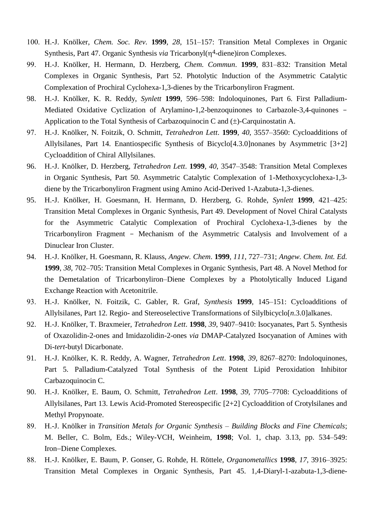- 100. H.-J. Knölker, *Chem. Soc. Rev*. **1999**, *28*, 151–157: Transition Metal Complexes in Organic Synthesis, Part 47. Organic Synthesis *via* Tricarbonyl( $\eta$ <sup>4</sup>-diene)iron Complexes.
- 99. H.-J. Knölker, H. Hermann, D. Herzberg, *Chem. Commun*. **1999**, 831–832: Transition Metal Complexes in Organic Synthesis, Part 52. Photolytic Induction of the Asymmetric Catalytic Complexation of Prochiral Cyclohexa-1,3-dienes by the Tricarbonyliron Fragment.
- 98. H.-J. Knölker, K. R. Reddy, *Synlett* **1999**, 596–598: Indoloquinones, Part 6. First Palladium-Mediated Oxidative Cyclization of Arylamino-1,2-benzoquinones to Carbazole-3,4-quinones - Application to the Total Synthesis of Carbazoquinocin C and  $(\pm)$ -Carquinostatin A.
- 97. H.-J. Knölker, N. Foitzik, O. Schmitt, *Tetrahedron Lett*. **1999**, *40*, 3557–3560: Cycloadditions of Allylsilanes, Part 14. Enantiospecific Synthesis of Bicyclo[4.3.0]nonanes by Asymmetric [3+2] Cycloaddition of Chiral Allylsilanes.
- 96. H.-J. Knölker, D. Herzberg, *Tetrahedron Lett*. **1999**, *40*, 3547–3548: Transition Metal Complexes in Organic Synthesis, Part 50. Asymmetric Catalytic Complexation of 1-Methoxycyclohexa-1,3 diene by the Tricarbonyliron Fragment using Amino Acid-Derived 1-Azabuta-1,3-dienes.
- 95. H.-J. Knölker, H. Goesmann, H. Hermann, D. Herzberg, G. Rohde, *Synlett* **1999**, 421–425: Transition Metal Complexes in Organic Synthesis, Part 49. Development of Novel Chiral Catalysts for the Asymmetric Catalytic Complexation of Prochiral Cyclohexa-1,3-dienes by the Tricarbonyliron Fragment - Mechanism of the Asymmetric Catalysis and Involvement of a Dinuclear Iron Cluster.
- 94. H.-J. Knölker, H. Goesmann, R. Klauss, *Angew. Chem*. **1999**, *111*, 727–731; *Angew. Chem. Int. Ed.* **1999**, *38*, 702–705: Transition Metal Complexes in Organic Synthesis, Part 48. A Novel Method for the Demetalation of Tricarbonyliron–Diene Complexes by a Photolytically Induced Ligand Exchange Reaction with Acetonitrile.
- 93. H.-J. Knölker, N. Foitzik, C. Gabler, R. Graf, *Synthesis* **1999**, 145–151: Cycloadditions of Allylsilanes, Part 12. Regio- and Stereoselective Transformations of Silylbicyclo[*n*.3.0]alkanes.
- 92. H.-J. Knölker, T. Braxmeier, *Tetrahedron Lett*. **1998**, *39*, 9407–9410: Isocyanates, Part 5. Synthesis of Oxazolidin-2-ones and Imidazolidin-2-ones *via* DMAP-Catalyzed Isocyanation of Amines with Di-*tert*-butyl Dicarbonate.
- 91. H.-J. Knölker, K. R. Reddy, A. Wagner, *Tetrahedron Lett*. **1998**, *39*, 8267–8270: Indoloquinones, Part 5. Palladium-Catalyzed Total Synthesis of the Potent Lipid Peroxidation Inhibitor Carbazoquinocin C.
- 90. H.-J. Knölker, E. Baum, O. Schmitt, *Tetrahedron Lett*. **1998**, *39*, 7705–7708: Cycloadditions of Allylsilanes, Part 13. Lewis Acid-Promoted Stereospecific [2+2] Cycloaddition of Crotylsilanes and Methyl Propynoate.
- 89. H.-J. Knölker in *Transition Metals for Organic Synthesis – Building Blocks and Fine Chemicals*; M. Beller, C. Bolm, Eds.; Wiley-VCH, Weinheim, **1998**; Vol. 1, chap. 3.13, pp. 534–549: Iron-Diene Complexes.
- 88. H.-J. Knölker, E. Baum, P. Gonser, G. Rohde, H. Röttele, *Organometallics* **1998**, *17*, 3916–3925: Transition Metal Complexes in Organic Synthesis, Part 45. 1,4-Diaryl-1-azabuta-1,3-diene-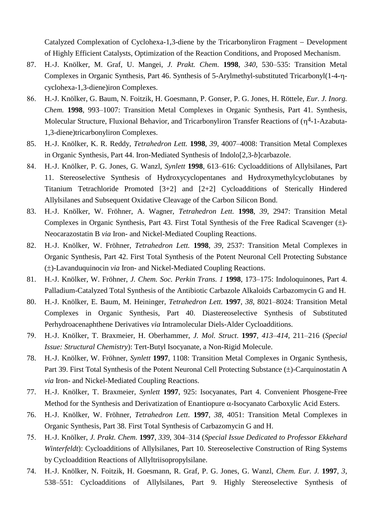Catalyzed Complexation of Cyclohexa-1,3-diene by the Tricarbonyliron Fragment – Development of Highly Efficient Catalysts, Optimization of the Reaction Conditions, and Proposed Mechanism.

- 87. H.-J. Knölker, M. Graf, U. Mangei, *J. Prakt. Chem*. **1998**, *340*, 530–535: Transition Metal Complexes in Organic Synthesis, Part 46. Synthesis of 5-Arylmethyl-substituted Tricarbonyl(1-4- cyclohexa-1,3-diene)iron Complexes.
- 86. H.-J. Knölker, G. Baum, N. Foitzik, H. Goesmann, P. Gonser, P. G. Jones, H. Röttele, *Eur. J. Inorg. Chem.* **1998**, 993–1007: Transition Metal Complexes in Organic Synthesis, Part 41. Synthesis, Molecular Structure, Fluxional Behavior, and Tricarbonyliron Transfer Reactions of  $(\eta^4$ -1-Azabuta-1,3-diene)tricarbonyliron Complexes.
- 85. H.-J. Knölker, K. R. Reddy, *Tetrahedron Lett.* **1998**, *39*, 4007–4008: Transition Metal Complexes in Organic Synthesis, Part 44. Iron-Mediated Synthesis of Indolo[2,3-*b*]carbazole.
- 84. H.-J. Knölker, P. G. Jones, G. Wanzl, *Synlett* **1998**, 613–616: Cycloadditions of Allylsilanes, Part 11. Stereoselective Synthesis of Hydroxycyclopentanes and Hydroxymethylcyclobutanes by Titanium Tetrachloride Promoted [3+2] and [2+2] Cycloadditions of Sterically Hindered Allylsilanes and Subsequent Oxidative Cleavage of the Carbon Silicon Bond.
- 83. H.-J. Knölker, W. Fröhner, A. Wagner, *Tetrahedron Lett.* **1998**, *39*, 2947: Transition Metal Complexes in Organic Synthesis, Part 43. First Total Synthesis of the Free Radical Scavenger  $(\pm)$ -Neocarazostatin B *via* Iron- and Nickel-Mediated Coupling Reactions.
- 82. H.-J. Knölker, W. Fröhner, *Tetrahedron Lett.* **1998**, *39*, 2537: Transition Metal Complexes in Organic Synthesis, Part 42. First Total Synthesis of the Potent Neuronal Cell Protecting Substance ( $\pm$ )-Lavanduquinocin *via* Iron- and Nickel-Mediated Coupling Reactions.
- 81. H.-J. Knölker, W. Fröhner, *J. Chem. Soc. Perkin Trans. 1* **1998**, 173–175: Indoloquinones, Part 4. Palladium-Catalyzed Total Synthesis of the Antibiotic Carbazole Alkaloids Carbazomycin G and H.
- 80. H.-J. Knölker, E. Baum, M. Heininger, *Tetrahedron Lett.* **1997**, *38*, 8021–8024: Transition Metal Complexes in Organic Synthesis, Part 40. Diastereoselective Synthesis of Substituted Perhydroacenaphthene Derivatives *via* Intramolecular Diels-Alder Cycloadditions.
- 79. H.-J. Knölker, T. Braxmeier, H. Oberhammer, *J. Mol. Struct*. **1997**, *413–414*, 211–216 (*Special Issue: Structural Chemistry*): Tert-Butyl Isocyanate, a Non-Rigid Molecule.
- 78. H.-J. Knölker, W. Fröhner, *Synlett* **1997**, 1108: Transition Metal Complexes in Organic Synthesis, Part 39. First Total Synthesis of the Potent Neuronal Cell Protecting Substance  $(\pm)$ -Carquinostatin A *via* Iron- and Nickel-Mediated Coupling Reactions.
- 77. H.-J. Knölker, T. Braxmeier, *Synlett* **1997**, 925: Isocyanates, Part 4. Convenient Phosgene-Free Method for the Synthesis and Derivatization of Enantiopure  $\alpha$ -Isocyanato Carboxylic Acid Esters.
- 76. H.-J. Knölker, W. Fröhner, *Tetrahedron Lett*. **1997**, *38*, 4051: Transition Metal Complexes in Organic Synthesis, Part 38. First Total Synthesis of Carbazomycin G and H.
- 75. H.-J. Knölker, *J. Prakt. Chem*. **1997**, *339*, 304–314 (*Special Issue Dedicated to Professor Ekkehard Winterfeldt*): Cycloadditions of Allylsilanes, Part 10. Stereoselective Construction of Ring Systems by Cycloaddition Reactions of Allyltriisopropylsilane.
- 74. H.-J. Knölker, N. Foitzik, H. Goesmann, R. Graf, P. G. Jones, G. Wanzl, *Chem. Eur. J.* **1997**, *3*, 538–551: Cycloadditions of Allylsilanes, Part 9. Highly Stereoselective Synthesis of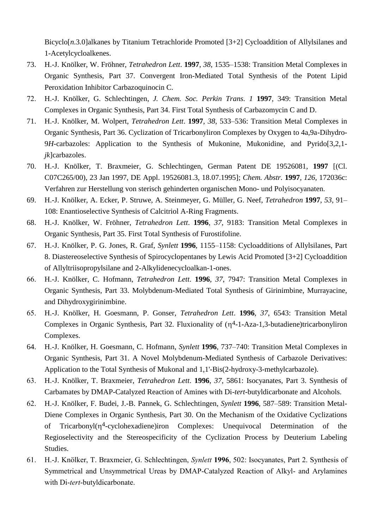Bicyclo[n.3.0]alkanes by Titanium Tetrachloride Promoted [3+2] Cycloaddition of Allylsilanes and 1-Acetylcycloalkenes.

- 73. H.-J. Knölker, W. Fröhner, *Tetrahedron Lett*. **1997**, *38*, 1535–1538: Transition Metal Complexes in Organic Synthesis, Part 37. Convergent Iron-Mediated Total Synthesis of the Potent Lipid Peroxidation Inhibitor Carbazoquinocin C.
- 72. H.-J. Knölker, G. Schlechtingen, *J. Chem. Soc. Perkin Trans. 1* **1997**, 349: Transition Metal Complexes in Organic Synthesis, Part 34. First Total Synthesis of Carbazomycin C and D.
- 71. H.-J. Knölker, M. Wolpert, *Tetrahedron Lett*. **1997**, *38*, 533–536: Transition Metal Complexes in Organic Synthesis, Part 36. Cyclization of Tricarbonyliron Complexes by Oxygen to 4a,9a-Dihydro-9*H*-carbazoles: Application to the Synthesis of Mukonine, Mukonidine, and Pyrido<sup>[3,2,1-</sup>] *jk*]carbazoles.
- 70. H.-J. Knölker, T. Braxmeier, G. Schlechtingen, German Patent DE 19526081, **1997** [(Cl. C07C265/00), 23 Jan 1997, DE Appl. 19526081.3, 18.07.1995]; *Chem. Abstr.* **1997**, *126*, 172036c: Verfahren zur Herstellung von sterisch gehinderten organischen Mono- und Polyisocyanaten.
- 69. H.-J. Knölker, A. Ecker, P. Struwe, A. Steinmeyer, G. Müller, G. Neef, *Tetrahedron* **1997**, *53*, 91– 108: Enantioselective Synthesis of Calcitriol A-Ring Fragments.
- 68. H.-J. Knölker, W. Fröhner, *Tetrahedron Lett*. **1996**, *37*, 9183: Transition Metal Complexes in Organic Synthesis, Part 35. First Total Synthesis of Furostifoline.
- 67. H.-J. Knölker, P. G. Jones, R. Graf, *Synlett* **1996**, 1155–1158: Cycloadditions of Allylsilanes, Part 8. Diastereoselective Synthesis of Spirocyclopentanes by Lewis Acid Promoted [3+2] Cycloaddition of Allyltriisopropylsilane and 2-Alkylidenecycloalkan-1-ones.
- 66. H.-J. Knölker, C. Hofmann, *Tetrahedron Lett*. **1996**, *37*, 7947: Transition Metal Complexes in Organic Synthesis, Part 33. Molybdenum-Mediated Total Synthesis of Girinimbine, Murrayacine, and Dihydroxygirinimbine.
- 65. H.-J. Knölker, H. Goesmann, P. Gonser, *Tetrahedron Lett*. **1996**, *37*, 6543: Transition Metal Complexes in Organic Synthesis, Part 32. Fluxionality of  $(\eta^4$ -1-Aza-1,3-butadiene)tricarbonyliron Complexes.
- 64. H.-J. Knölker, H. Goesmann, C. Hofmann, *Synlett* **1996**, 737–740: Transition Metal Complexes in Organic Synthesis, Part 31. A Novel Molybdenum-Mediated Synthesis of Carbazole Derivatives: Application to the Total Synthesis of Mukonal and 1,1'-Bis(2-hydroxy-3-methylcarbazole).
- 63. H.-J. Knölker, T. Braxmeier, *Tetrahedron Lett*. **1996**, *37*, 5861: Isocyanates, Part 3. Synthesis of Carbamates by DMAP-Catalyzed Reaction of Amines with Di-*tert*-butyldicarbonate and Alcohols.
- 62. H.-J. Knölker, F. Budei, J.-B. Pannek, G. Schlechtingen, *Synlett* **1996**, 587–589: Transition Metal-Diene Complexes in Organic Synthesis, Part 30. On the Mechanism of the Oxidative Cyclizations of Tricarbonyl(4-cyclohexadiene)iron Complexes: Unequivocal Determination of the Regioselectivity and the Stereospecificity of the Cyclization Process by Deuterium Labeling Studies.
- 61. H.-J. Knölker, T. Braxmeier, G. Schlechtingen, *Synlett* **1996**, 502: Isocyanates, Part 2. Synthesis of Symmetrical and Unsymmetrical Ureas by DMAP-Catalyzed Reaction of Alkyl- and Arylamines with Di-*tert*-butyldicarbonate.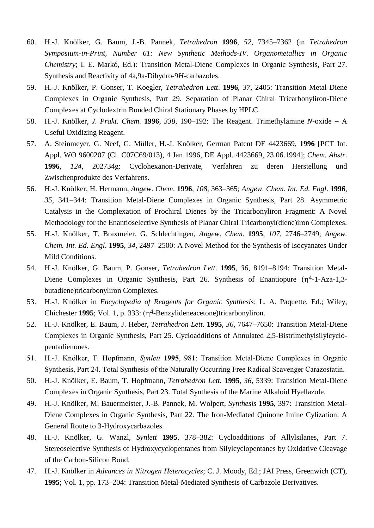- 60. H.-J. Knölker, G. Baum, J.-B. Pannek, *Tetrahedron* **1996**, *52*, 7345–7362 (in *Tetrahedron Symposium-in-Print, Number 61: New Synthetic Methods-IV. Organometallics in Organic Chemistry*; I. E. Markó, Ed.): Transition Metal-Diene Complexes in Organic Synthesis, Part 27. Synthesis and Reactivity of 4a,9a-Dihydro-9*H*-carbazoles.
- 59. H.-J. Knölker, P. Gonser, T. Koegler, *Tetrahedron Lett*. **1996**, *37*, 2405: Transition Metal-Diene Complexes in Organic Synthesis, Part 29. Separation of Planar Chiral Tricarbonyliron-Diene Complexes at Cyclodextrin Bonded Chiral Stationary Phases by HPLC.
- 58. H.-J. Knölker, *J. Prakt. Chem*. **1996**, *338*, 190–192: The Reagent. Trimethylamine *N*-oxide A Useful Oxidizing Reagent.
- 57. A. Steinmeyer, G. Neef, G. Müller, H.-J. Knölker, German Patent DE 4423669, **1996** [PCT Int. Appl. WO 9600207 (Cl. C07C69/013), 4 Jan 1996, DE Appl. 4423669, 23.06.1994]; *Chem. Abstr*. **1996**, *124*, 202734g: Cyclohexanon-Derivate, Verfahren zu deren Herstellung und Zwischenprodukte des Verfahrens.
- 56. H.-J. Knölker, H. Hermann, *Angew. Chem*. **1996**, *108*, 363–365; *Angew. Chem. Int. Ed. Engl*. **1996**, *35*, 341–344: Transition Metal-Diene Complexes in Organic Synthesis, Part 28. Asymmetric Catalysis in the Complexation of Prochiral Dienes by the Tricarbonyliron Fragment: A Novel Methodology for the Enantioselective Synthesis of Planar Chiral Tricarbonyl(diene)iron Complexes.
- 55. H.-J. Knölker, T. Braxmeier, G. Schlechtingen, *Angew. Chem*. **1995**, *107*, 2746–2749; *Angew. Chem. Int. Ed. Engl*. **1995**, *34*, 2497–2500: A Novel Method for the Synthesis of Isocyanates Under Mild Conditions.
- 54. H.-J. Knölker, G. Baum, P. Gonser, *Tetrahedron Lett*. **1995**, *36*, 8191–8194: Transition Metal-Diene Complexes in Organic Synthesis, Part 26. Synthesis of Enantiopure  $(\eta^4$ -1-Aza-1,3butadiene)tricarbonyliron Complexes.
- 53. H.-J. Knölker in *Encyclopedia of Reagents for Organic Synthesis*; L. A. Paquette, Ed.; Wiley, Chichester **1995**; Vol. 1, p. 333: (4-Benzylideneacetone)tricarbonyliron.
- 52. H.-J. Knölker, E. Baum, J. Heber, *Tetrahedron Lett*. **1995**, *36*, 7647–7650: Transition Metal-Diene Complexes in Organic Synthesis, Part 25. Cycloadditions of Annulated 2,5-Bistrimethylsilylcyclopentadienones.
- 51. H.-J. Knölker, T. Hopfmann, *Synlett* **1995**, 981: Transition Metal-Diene Complexes in Organic Synthesis, Part 24. Total Synthesis of the Naturally Occurring Free Radical Scavenger Carazostatin.
- 50. H.-J. Knölker, E. Baum, T. Hopfmann, *Tetrahedron Lett.* **1995**, *36*, 5339: Transition Metal-Diene Complexes in Organic Synthesis, Part 23. Total Synthesis of the Marine Alkaloid Hyellazole.
- 49. H.-J. Knölker, M. Bauermeister, J.-B. Pannek, M. Wolpert, *Synthesis* **1995**, 397: Transition Metal-Diene Complexes in Organic Synthesis, Part 22. The Iron-Mediated Quinone Imine Cylization: A General Route to 3-Hydroxycarbazoles.
- 48. H.-J. Knölker, G. Wanzl, *Synlett* **1995**, 378–382: Cycloadditions of Allylsilanes, Part 7. Stereoselective Synthesis of Hydroxycyclopentanes from Silylcyclopentanes by Oxidative Cleavage of the Carbon-Silicon Bond.
- 47. H.-J. Knölker in *Advances in Nitrogen Heterocycles*; C. J. Moody, Ed.; JAI Press, Greenwich (CT), **1995**; Vol. 1, pp. 173–204: Transition Metal-Mediated Synthesis of Carbazole Derivatives.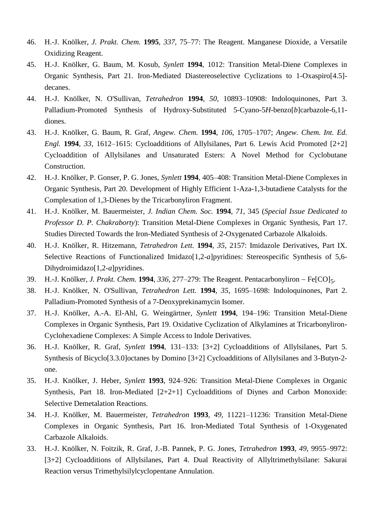- 46. H.-J. Knölker, *J. Prakt. Chem.* **1995**, *337*, 75–77: The Reagent. Manganese Dioxide, a Versatile Oxidizing Reagent.
- 45. H.-J. Knölker, G. Baum, M. Kosub, *Synlett* **1994**, 1012: Transition Metal-Diene Complexes in Organic Synthesis, Part 21. Iron-Mediated Diastereoselective Cyclizations to 1-Oxaspiro[4.5] decanes.
- 44. H.-J. Knölker, N. O'Sullivan, *Tetrahedron* **1994**, *50*, 10893–10908: Indoloquinones, Part 3. Palladium-Promoted Synthesis of Hydroxy-Substituted 5-Cyano-5*H*-benzo[b]carbazole-6,11diones.
- 43. H.-J. Knölker, G. Baum, R. Graf, *Angew. Chem.* **1994**, *106*, 1705–1707; *Angew. Chem. Int. Ed. Engl.* **1994**, *33*, 1612–1615: Cycloadditions of Allylsilanes, Part 6. Lewis Acid Promoted [2+2] Cycloaddition of Allylsilanes and Unsaturated Esters: A Novel Method for Cyclobutane Construction.
- 42. H.-J. Knölker, P. Gonser, P. G. Jones, *Synlett* **1994**, 405–408: Transition Metal-Diene Complexes in Organic Synthesis, Part 20. Development of Highly Efficient 1-Aza-1,3-butadiene Catalysts for the Complexation of 1,3-Dienes by the Tricarbonyliron Fragment.
- 41. H.-J. Knölker, M. Bauermeister, *J. Indian Chem. Soc.* **1994**, *71*, 345 (*Special Issue Dedicated to Professor D. P. Chakraborty*): Transition Metal-Diene Complexes in Organic Synthesis, Part 17. Studies Directed Towards the Iron-Mediated Synthesis of 2-Oxygenated Carbazole Alkaloids.
- 40. H.-J. Knölker, R. Hitzemann, *Tetrahedron Lett.* **1994**, *35*, 2157: Imidazole Derivatives, Part IX. Selective Reactions of Functionalized Imidazo[1,2-*a*]pyridines: Stereospecific Synthesis of 5,6- Dihydroimidazo[1,2-*a*]pyridines.
- 39. H.-J. Knölker, *J. Prakt. Chem.* **1994**, 336, 277–279: The Reagent. Pentacarbonyliron Fe[CO]<sub>5</sub>.
- 38. H.-J. Knölker, N. O'Sullivan, *Tetrahedron Lett.* **1994**, *35*, 1695–1698: Indoloquinones, Part 2. Palladium-Promoted Synthesis of a 7-Deoxyprekinamycin Isomer.
- 37. H.-J. Knölker, A.-A. El-Ahl, G. Weingärtner, *Synlett* **1994**, 194–196: Transition Metal-Diene Complexes in Organic Synthesis, Part 19. Oxidative Cyclization of Alkylamines at Tricarbonyliron-Cyclohexadiene Complexes: A Simple Access to Indole Derivatives.
- 36. H.-J. Knölker, R. Graf, *Synlett* **1994**, 131–133: [3+2] Cycloadditions of Allylsilanes, Part 5. Synthesis of Bicyclo[3.3.0]octanes by Domino [3+2] Cycloadditions of Allylsilanes and 3-Butyn-2 one.
- 35. H.-J. Knölker, J. Heber, *Synlett* **1993**, 924–926: Transition Metal-Diene Complexes in Organic Synthesis, Part 18. Iron-Mediated [2+2+1] Cycloadditions of Diynes and Carbon Monoxide: Selective Demetalation Reactions.
- 34. H.-J. Knölker, M. Bauermeister, *Tetrahedron* **1993**, *49*, 11221–11236: Transition Metal-Diene Complexes in Organic Synthesis, Part 16. Iron-Mediated Total Synthesis of 1-Oxygenated Carbazole Alkaloids.
- 33. H.-J. Knölker, N. Foitzik, R. Graf, J.-B. Pannek, P. G. Jones, *Tetrahedron* **1993**, *49*, 9955–9972: [3+2] Cycloadditions of Allylsilanes, Part 4. Dual Reactivity of Allyltrimethylsilane: Sakurai Reaction versus Trimethylsilylcyclopentane Annulation.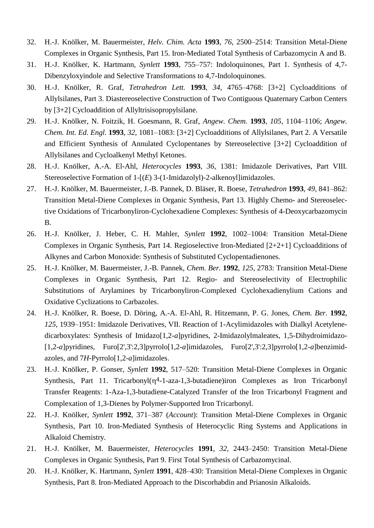- 32. H.-J. Knölker, M. Bauermeister, *Helv. Chim. Acta* **1993**, *76*, 2500–2514: Transition Metal-Diene Complexes in Organic Synthesis, Part 15. Iron-Mediated Total Synthesis of Carbazomycin A and B.
- 31. H.-J. Knölker, K. Hartmann, *Synlett* **1993**, 755–757: Indoloquinones, Part 1. Synthesis of 4,7- Dibenzyloxyindole and Selective Transformations to 4,7-Indoloquinones.
- 30. H.-J. Knölker, R. Graf, *Tetrahedron Lett.* **1993**, *34*, 4765–4768: [3+2] Cycloadditions of Allylsilanes, Part 3. Diastereoselective Construction of Two Contiguous Quaternary Carbon Centers by [3+2] Cycloaddition of Allyltrisisopropylsilane.
- 29. H.-J. Knölker, N. Foitzik, H. Goesmann, R. Graf, *Angew. Chem.* **1993**, *105*, 1104–1106; *Angew. Chem. Int. Ed. Engl.* **1993**, *32*, 1081–1083: [3+2] Cycloadditions of Allylsilanes, Part 2. A Versatile and Efficient Synthesis of Annulated Cyclopentanes by Stereoselective [3+2] Cycloaddition of Allylsilanes and Cycloalkenyl Methyl Ketones.
- 28. H.-J. Knölker, A.-A. El-Ahl, *Heterocycles* **1993**, *36*, 1381: Imidazole Derivatives, Part VIII. Stereoselective Formation of 1-[(*E*) 3-(1-Imidazolyl)-2-alkenoyl]imidazoles.
- 27. H.-J. Knölker, M. Bauermeister, J.-B. Pannek, D. Bläser, R. Boese, *Tetrahedron* **1993**, *49*, 841–862: Transition Metal-Diene Complexes in Organic Synthesis, Part 13. Highly Chemo- and Stereoselective Oxidations of Tricarbonyliron-Cyclohexadiene Complexes: Synthesis of 4-Deoxycarbazomycin B.
- 26. H.-J. Knölker, J. Heber, C. H. Mahler, *Synlett* **1992**, 1002–1004: Transition Metal-Diene Complexes in Organic Synthesis, Part 14. Regioselective Iron-Mediated [2+2+1] Cycloadditions of Alkynes and Carbon Monoxide: Synthesis of Substituted Cyclopentadienones.
- 25. H.-J. Knölker, M. Bauermeister, J.-B. Pannek, *Chem. Ber.* **1992**, *125*, 2783: Transition Metal-Diene Complexes in Organic Synthesis, Part 12. Regio- and Stereoselectivity of Electrophilic Substitutions of Arylamines by Tricarbonyliron-Complexed Cyclohexadienylium Cations and Oxidative Cyclizations to Carbazoles.
- 24. H.-J. Knölker, R. Boese, D. Döring, A.-A. El-Ahl, R. Hitzemann, P. G. Jones, *Chem. Ber.* **1992**, *125*, 1939–1951: Imidazole Derivatives, VII. Reaction of 1-Acylimidazoles with Dialkyl Acetylenedicarboxylates: Synthesis of Imidazo[1,2-*a*]pyridines, 2-Imidazolylmaleates, 1,5-Dihydroimidazo- [1,2-*a*]pyridines, Furo[2',3':2,3]pyrrolo[1,2-*a*]imidazoles, Furo[2',3':2,3]pyrrolo[1,2-*a*]benzimidazoles, and 7*H*-Pyrrolo[1,2-*a*]imidazoles.
- 23. H.-J. Knölker, P. Gonser, *Synlett* **1992**, 517–520: Transition Metal-Diene Complexes in Organic Synthesis, Part 11. Tricarbonyl $(\eta^4$ -1-aza-1,3-butadiene)iron Complexes as Iron Tricarbonyl Transfer Reagents: 1-Aza-1,3-butadiene-Catalyzed Transfer of the Iron Tricarbonyl Fragment and Complexation of 1,3-Dienes by Polymer-Supported Iron Tricarbonyl.
- 22. H.-J. Knölker, *Synlett* **1992**, 371–387 (*Account*): Transition Metal-Diene Complexes in Organic Synthesis, Part 10. Iron-Mediated Synthesis of Heterocyclic Ring Systems and Applications in Alkaloid Chemistry.
- 21. H.-J. Knölker, M. Bauermeister, *Heterocycles* **1991**, *32*, 2443–2450: Transition Metal-Diene Complexes in Organic Synthesis, Part 9. First Total Synthesis of Carbazomycinal.
- 20. H.-J. Knölker, K. Hartmann, *Synlett* **1991**, 428–430: Transition Metal-Diene Complexes in Organic Synthesis, Part 8. Iron-Mediated Approach to the Discorhabdin and Prianosin Alkaloids.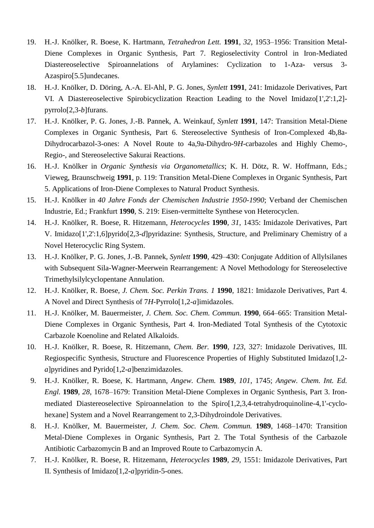- 19. H.-J. Knölker, R. Boese, K. Hartmann, *Tetrahedron Lett.* **1991**, *32*, 1953–1956: Transition Metal-Diene Complexes in Organic Synthesis, Part 7. Regioselectivity Control in Iron-Mediated Diastereoselective Spiroannelations of Arylamines: Cyclization to 1-Aza- versus 3- Azaspiro[5.5]undecanes.
- 18. H.-J. Knölker, D. Döring, A.-A. El-Ahl, P. G. Jones, *Synlett* **1991**, 241: Imidazole Derivatives, Part VI. A Diastereoselective Spirobicyclization Reaction Leading to the Novel Imidazo[1',2':1,2] pyrrolo[2,3-*b*]furans.
- 17. H.-J. Knölker, P. G. Jones, J.-B. Pannek, A. Weinkauf, *Synlett* **1991**, 147: Transition Metal-Diene Complexes in Organic Synthesis, Part 6. Stereoselective Synthesis of Iron-Complexed 4b,8a-Dihydrocarbazol-3-ones: A Novel Route to 4a,9a-Dihydro-9*H*-carbazoles and Highly Chemo-, Regio-, and Stereoselective Sakurai Reactions.
- 16. H.-J. Knölker in *Organic Synthesis via Organometallics*; K. H. Dötz, R. W. Hoffmann, Eds.; Vieweg, Braunschweig **1991**, p. 119: Transition Metal-Diene Complexes in Organic Synthesis, Part 5. Applications of Iron-Diene Complexes to Natural Product Synthesis.
- 15. H.-J. Knölker in *40 Jahre Fonds der Chemischen Industrie 1950-1990*; Verband der Chemischen Industrie, Ed.; Frankfurt **1990**, S. 219: Eisen-vermittelte Synthese von Heterocyclen.
- 14. H.-J. Knölker, R. Boese, R. Hitzemann, *Heterocycles* **1990**, *31*, 1435: Imidazole Derivatives, Part V. Imidazo[1',2':1,6]pyrido[2,3-*d*]pyridazine: Synthesis, Structure, and Preliminary Chemistry of a Novel Heterocyclic Ring System.
- 13. H.-J. Knölker, P. G. Jones, J.-B. Pannek, *Synlett* **1990**, 429–430: Conjugate Addition of Allylsilanes with Subsequent Sila-Wagner-Meerwein Rearrangement: A Novel Methodology for Stereoselective Trimethylsilylcyclopentane Annulation.
- 12. H.-J. Knölker, R. Boese, *J. Chem. Soc. Perkin Trans. 1* **1990**, 1821: Imidazole Derivatives, Part 4. A Novel and Direct Synthesis of 7*H*-Pyrrolo[1,2-*a*]imidazoles.
- 11. H.-J. Knölker, M. Bauermeister, *J. Chem. Soc. Chem. Commun.* **1990**, 664–665: Transition Metal-Diene Complexes in Organic Synthesis, Part 4. Iron-Mediated Total Synthesis of the Cytotoxic Carbazole Koenoline and Related Alkaloids.
- 10. H.-J. Knölker, R. Boese, R. Hitzemann, *Chem. Ber.* **1990**, *123*, 327: Imidazole Derivatives, III. Regiospecific Synthesis, Structure and Fluorescence Properties of Highly Substituted Imidazo[1,2 *a*]pyridines and Pyrido[1,2-*a*]benzimidazoles.
- 9. H.-J. Knölker, R. Boese, K. Hartmann, *Angew. Chem.* **1989**, *101*, 1745; *Angew. Chem. Int. Ed. Engl.* **1989**, *28*, 1678–1679: Transition Metal-Diene Complexes in Organic Synthesis, Part 3. Ironmediated Diastereoselective Spiroannelation to the Spiro[1,2,3,4-tetrahydroquinoline-4,1'-cyclohexane] System and a Novel Rearrangement to 2,3-Dihydroindole Derivatives.
- 8. H.-J. Knölker, M. Bauermeister, *J. Chem. Soc. Chem. Commun.* **1989**, 1468–1470: Transition Metal-Diene Complexes in Organic Synthesis, Part 2. The Total Synthesis of the Carbazole Antibiotic Carbazomycin B and an Improved Route to Carbazomycin A.
- 7. H.-J. Knölker, R. Boese, R. Hitzemann, *Heterocycles* **1989**, *29*, 1551: Imidazole Derivatives, Part II. Synthesis of Imidazo[1,2-*a*]pyridin-5-ones.